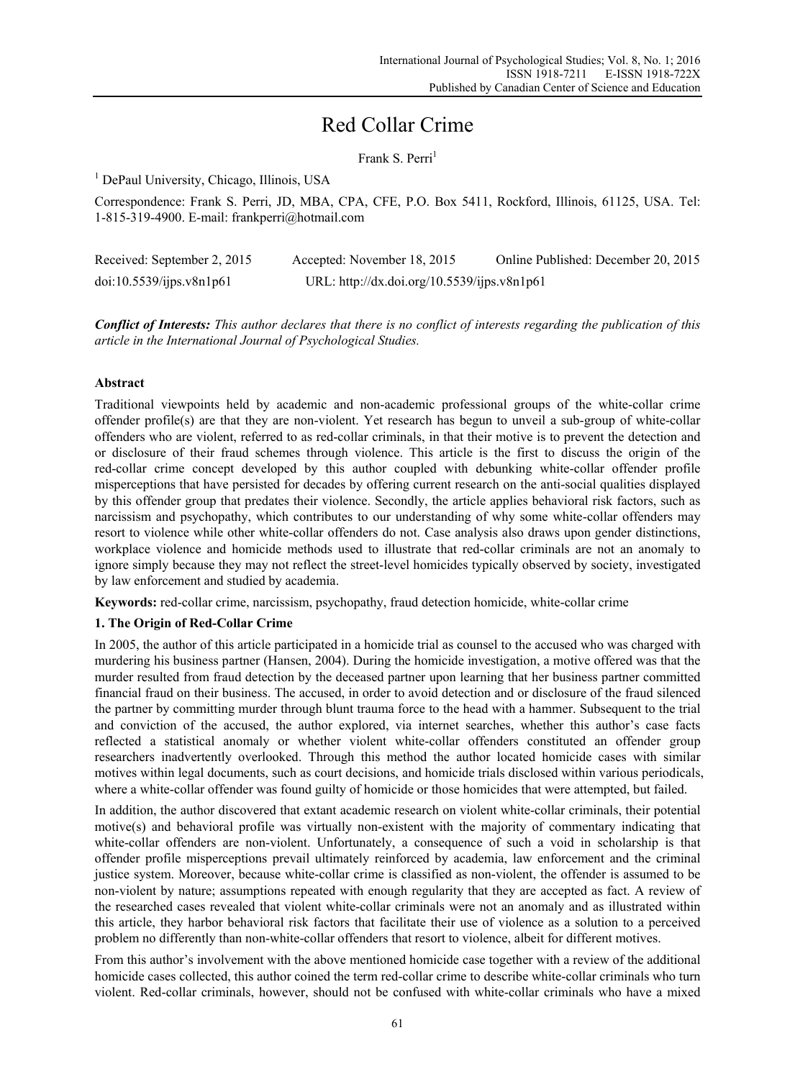# Red Collar Crime

Frank S. Perri<sup>1</sup>

<sup>1</sup> DePaul University, Chicago, Illinois, USA

Correspondence: Frank S. Perri, JD, MBA, CPA, CFE, P.O. Box 5411, Rockford, Illinois, 61125, USA. Tel: 1-815-319-4900. E-mail: frankperri@hotmail.com

| Received: September 2, 2015 | Accepted: November 18, 2015                 | Online Published: December 20, 2015 |
|-----------------------------|---------------------------------------------|-------------------------------------|
| doi:10.5539/ijps.v8n1p61    | URL: http://dx.doi.org/10.5539/ijps.v8n1p61 |                                     |

*Conflict of Interests: This author declares that there is no conflict of interests regarding the publication of this article in the International Journal of Psychological Studies.* 

## **Abstract**

Traditional viewpoints held by academic and non-academic professional groups of the white-collar crime offender profile(s) are that they are non-violent. Yet research has begun to unveil a sub-group of white-collar offenders who are violent, referred to as red-collar criminals, in that their motive is to prevent the detection and or disclosure of their fraud schemes through violence. This article is the first to discuss the origin of the red-collar crime concept developed by this author coupled with debunking white-collar offender profile misperceptions that have persisted for decades by offering current research on the anti-social qualities displayed by this offender group that predates their violence. Secondly, the article applies behavioral risk factors, such as narcissism and psychopathy, which contributes to our understanding of why some white-collar offenders may resort to violence while other white-collar offenders do not. Case analysis also draws upon gender distinctions, workplace violence and homicide methods used to illustrate that red-collar criminals are not an anomaly to ignore simply because they may not reflect the street-level homicides typically observed by society, investigated by law enforcement and studied by academia.

**Keywords:** red-collar crime, narcissism, psychopathy, fraud detection homicide, white-collar crime

### **1. The Origin of Red-Collar Crime**

In 2005, the author of this article participated in a homicide trial as counsel to the accused who was charged with murdering his business partner (Hansen, 2004). During the homicide investigation, a motive offered was that the murder resulted from fraud detection by the deceased partner upon learning that her business partner committed financial fraud on their business. The accused, in order to avoid detection and or disclosure of the fraud silenced the partner by committing murder through blunt trauma force to the head with a hammer. Subsequent to the trial and conviction of the accused, the author explored, via internet searches, whether this author's case facts reflected a statistical anomaly or whether violent white-collar offenders constituted an offender group researchers inadvertently overlooked. Through this method the author located homicide cases with similar motives within legal documents, such as court decisions, and homicide trials disclosed within various periodicals, where a white-collar offender was found guilty of homicide or those homicides that were attempted, but failed.

In addition, the author discovered that extant academic research on violent white-collar criminals, their potential motive(s) and behavioral profile was virtually non-existent with the majority of commentary indicating that white-collar offenders are non-violent. Unfortunately, a consequence of such a void in scholarship is that offender profile misperceptions prevail ultimately reinforced by academia, law enforcement and the criminal justice system. Moreover, because white-collar crime is classified as non-violent, the offender is assumed to be non-violent by nature; assumptions repeated with enough regularity that they are accepted as fact. A review of the researched cases revealed that violent white-collar criminals were not an anomaly and as illustrated within this article, they harbor behavioral risk factors that facilitate their use of violence as a solution to a perceived problem no differently than non-white-collar offenders that resort to violence, albeit for different motives.

From this author's involvement with the above mentioned homicide case together with a review of the additional homicide cases collected, this author coined the term red-collar crime to describe white-collar criminals who turn violent. Red-collar criminals, however, should not be confused with white-collar criminals who have a mixed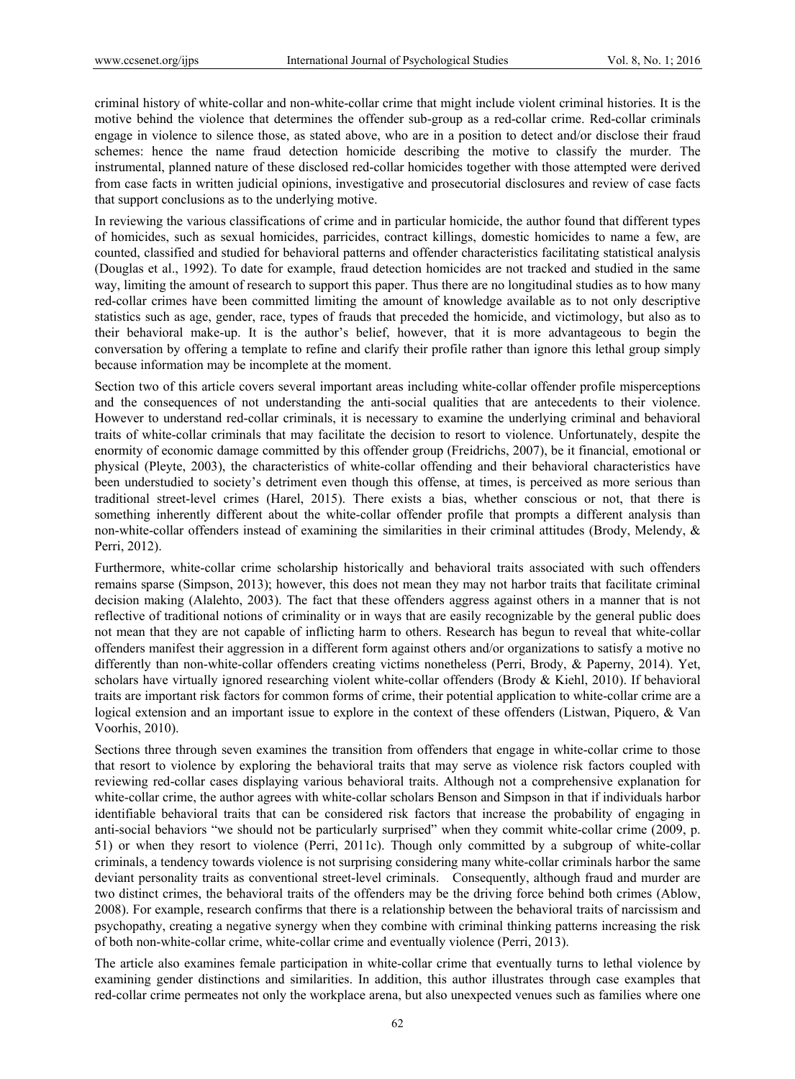criminal history of white-collar and non-white-collar crime that might include violent criminal histories. It is the motive behind the violence that determines the offender sub-group as a red-collar crime. Red-collar criminals engage in violence to silence those, as stated above, who are in a position to detect and/or disclose their fraud schemes: hence the name fraud detection homicide describing the motive to classify the murder. The instrumental, planned nature of these disclosed red-collar homicides together with those attempted were derived from case facts in written judicial opinions, investigative and prosecutorial disclosures and review of case facts that support conclusions as to the underlying motive.

In reviewing the various classifications of crime and in particular homicide, the author found that different types of homicides, such as sexual homicides, parricides, contract killings, domestic homicides to name a few, are counted, classified and studied for behavioral patterns and offender characteristics facilitating statistical analysis (Douglas et al., 1992). To date for example, fraud detection homicides are not tracked and studied in the same way, limiting the amount of research to support this paper. Thus there are no longitudinal studies as to how many red-collar crimes have been committed limiting the amount of knowledge available as to not only descriptive statistics such as age, gender, race, types of frauds that preceded the homicide, and victimology, but also as to their behavioral make-up. It is the author's belief, however, that it is more advantageous to begin the conversation by offering a template to refine and clarify their profile rather than ignore this lethal group simply because information may be incomplete at the moment.

Section two of this article covers several important areas including white-collar offender profile misperceptions and the consequences of not understanding the anti-social qualities that are antecedents to their violence. However to understand red-collar criminals, it is necessary to examine the underlying criminal and behavioral traits of white-collar criminals that may facilitate the decision to resort to violence. Unfortunately, despite the enormity of economic damage committed by this offender group (Freidrichs, 2007), be it financial, emotional or physical (Pleyte, 2003), the characteristics of white-collar offending and their behavioral characteristics have been understudied to society's detriment even though this offense, at times, is perceived as more serious than traditional street-level crimes (Harel, 2015). There exists a bias, whether conscious or not, that there is something inherently different about the white-collar offender profile that prompts a different analysis than non-white-collar offenders instead of examining the similarities in their criminal attitudes (Brody, Melendy, & Perri, 2012).

Furthermore, white-collar crime scholarship historically and behavioral traits associated with such offenders remains sparse (Simpson, 2013); however, this does not mean they may not harbor traits that facilitate criminal decision making (Alalehto, 2003). The fact that these offenders aggress against others in a manner that is not reflective of traditional notions of criminality or in ways that are easily recognizable by the general public does not mean that they are not capable of inflicting harm to others. Research has begun to reveal that white-collar offenders manifest their aggression in a different form against others and/or organizations to satisfy a motive no differently than non-white-collar offenders creating victims nonetheless (Perri, Brody, & Paperny, 2014). Yet, scholars have virtually ignored researching violent white-collar offenders (Brody & Kiehl, 2010). If behavioral traits are important risk factors for common forms of crime, their potential application to white-collar crime are a logical extension and an important issue to explore in the context of these offenders (Listwan, Piquero, & Van Voorhis, 2010).

Sections three through seven examines the transition from offenders that engage in white-collar crime to those that resort to violence by exploring the behavioral traits that may serve as violence risk factors coupled with reviewing red-collar cases displaying various behavioral traits. Although not a comprehensive explanation for white-collar crime, the author agrees with white-collar scholars Benson and Simpson in that if individuals harbor identifiable behavioral traits that can be considered risk factors that increase the probability of engaging in anti-social behaviors "we should not be particularly surprised" when they commit white-collar crime (2009, p. 51) or when they resort to violence (Perri, 2011c). Though only committed by a subgroup of white-collar criminals, a tendency towards violence is not surprising considering many white-collar criminals harbor the same deviant personality traits as conventional street-level criminals. Consequently, although fraud and murder are two distinct crimes, the behavioral traits of the offenders may be the driving force behind both crimes (Ablow, 2008). For example, research confirms that there is a relationship between the behavioral traits of narcissism and psychopathy, creating a negative synergy when they combine with criminal thinking patterns increasing the risk of both non-white-collar crime, white-collar crime and eventually violence (Perri, 2013).

The article also examines female participation in white-collar crime that eventually turns to lethal violence by examining gender distinctions and similarities. In addition, this author illustrates through case examples that red-collar crime permeates not only the workplace arena, but also unexpected venues such as families where one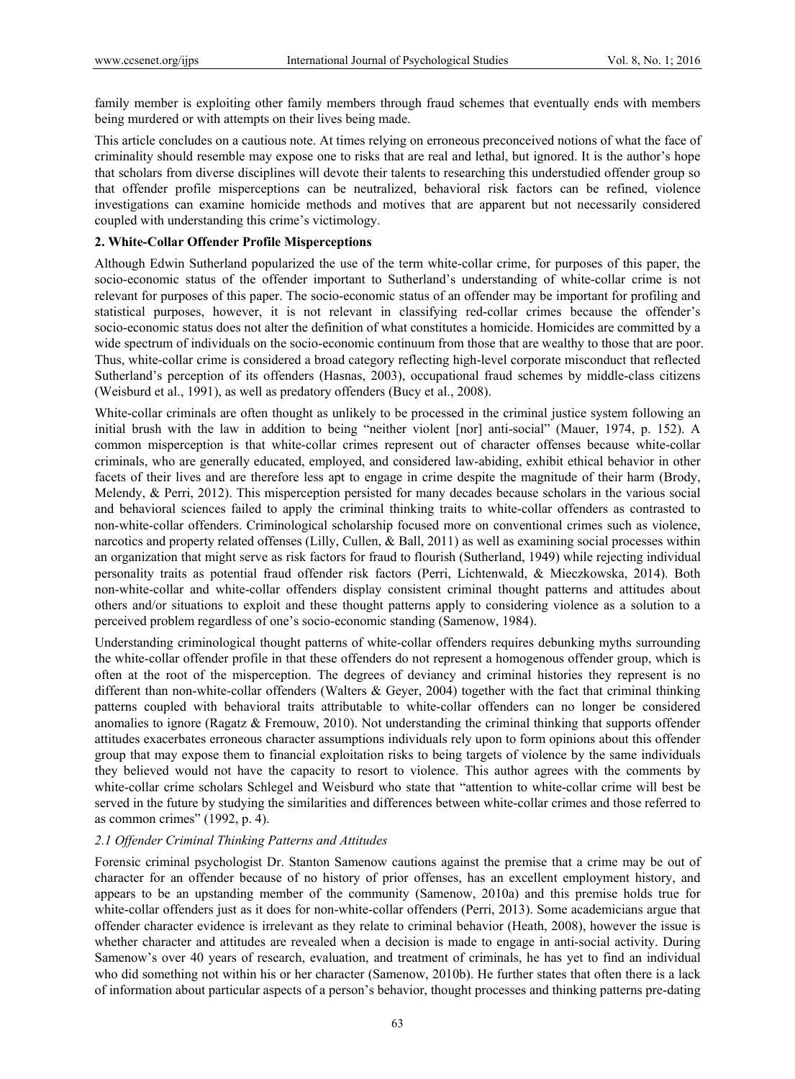family member is exploiting other family members through fraud schemes that eventually ends with members being murdered or with attempts on their lives being made.

This article concludes on a cautious note. At times relying on erroneous preconceived notions of what the face of criminality should resemble may expose one to risks that are real and lethal, but ignored. It is the author's hope that scholars from diverse disciplines will devote their talents to researching this understudied offender group so that offender profile misperceptions can be neutralized, behavioral risk factors can be refined, violence investigations can examine homicide methods and motives that are apparent but not necessarily considered coupled with understanding this crime's victimology.

### **2. White-Collar Offender Profile Misperceptions**

Although Edwin Sutherland popularized the use of the term white-collar crime, for purposes of this paper, the socio-economic status of the offender important to Sutherland's understanding of white-collar crime is not relevant for purposes of this paper. The socio-economic status of an offender may be important for profiling and statistical purposes, however, it is not relevant in classifying red-collar crimes because the offender's socio-economic status does not alter the definition of what constitutes a homicide. Homicides are committed by a wide spectrum of individuals on the socio-economic continuum from those that are wealthy to those that are poor. Thus, white-collar crime is considered a broad category reflecting high-level corporate misconduct that reflected Sutherland's perception of its offenders (Hasnas, 2003), occupational fraud schemes by middle-class citizens (Weisburd et al., 1991), as well as predatory offenders (Bucy et al., 2008).

White-collar criminals are often thought as unlikely to be processed in the criminal justice system following an initial brush with the law in addition to being "neither violent [nor] anti-social" (Mauer, 1974, p. 152). A common misperception is that white-collar crimes represent out of character offenses because white-collar criminals, who are generally educated, employed, and considered law-abiding, exhibit ethical behavior in other facets of their lives and are therefore less apt to engage in crime despite the magnitude of their harm (Brody, Melendy, & Perri, 2012). This misperception persisted for many decades because scholars in the various social and behavioral sciences failed to apply the criminal thinking traits to white-collar offenders as contrasted to non-white-collar offenders. Criminological scholarship focused more on conventional crimes such as violence, narcotics and property related offenses (Lilly, Cullen, & Ball, 2011) as well as examining social processes within an organization that might serve as risk factors for fraud to flourish (Sutherland, 1949) while rejecting individual personality traits as potential fraud offender risk factors (Perri, Lichtenwald, & Mieczkowska, 2014). Both non-white-collar and white-collar offenders display consistent criminal thought patterns and attitudes about others and/or situations to exploit and these thought patterns apply to considering violence as a solution to a perceived problem regardless of one's socio-economic standing (Samenow, 1984).

Understanding criminological thought patterns of white-collar offenders requires debunking myths surrounding the white-collar offender profile in that these offenders do not represent a homogenous offender group, which is often at the root of the misperception. The degrees of deviancy and criminal histories they represent is no different than non-white-collar offenders (Walters & Geyer, 2004) together with the fact that criminal thinking patterns coupled with behavioral traits attributable to white-collar offenders can no longer be considered anomalies to ignore (Ragatz & Fremouw, 2010). Not understanding the criminal thinking that supports offender attitudes exacerbates erroneous character assumptions individuals rely upon to form opinions about this offender group that may expose them to financial exploitation risks to being targets of violence by the same individuals they believed would not have the capacity to resort to violence. This author agrees with the comments by white-collar crime scholars Schlegel and Weisburd who state that "attention to white-collar crime will best be served in the future by studying the similarities and differences between white-collar crimes and those referred to as common crimes" (1992, p. 4).

#### *2.1 Offender Criminal Thinking Patterns and Attitudes*

Forensic criminal psychologist Dr. Stanton Samenow cautions against the premise that a crime may be out of character for an offender because of no history of prior offenses, has an excellent employment history, and appears to be an upstanding member of the community (Samenow, 2010a) and this premise holds true for white-collar offenders just as it does for non-white-collar offenders (Perri, 2013). Some academicians argue that offender character evidence is irrelevant as they relate to criminal behavior (Heath, 2008), however the issue is whether character and attitudes are revealed when a decision is made to engage in anti-social activity. During Samenow's over 40 years of research, evaluation, and treatment of criminals, he has yet to find an individual who did something not within his or her character (Samenow, 2010b). He further states that often there is a lack of information about particular aspects of a person's behavior, thought processes and thinking patterns pre-dating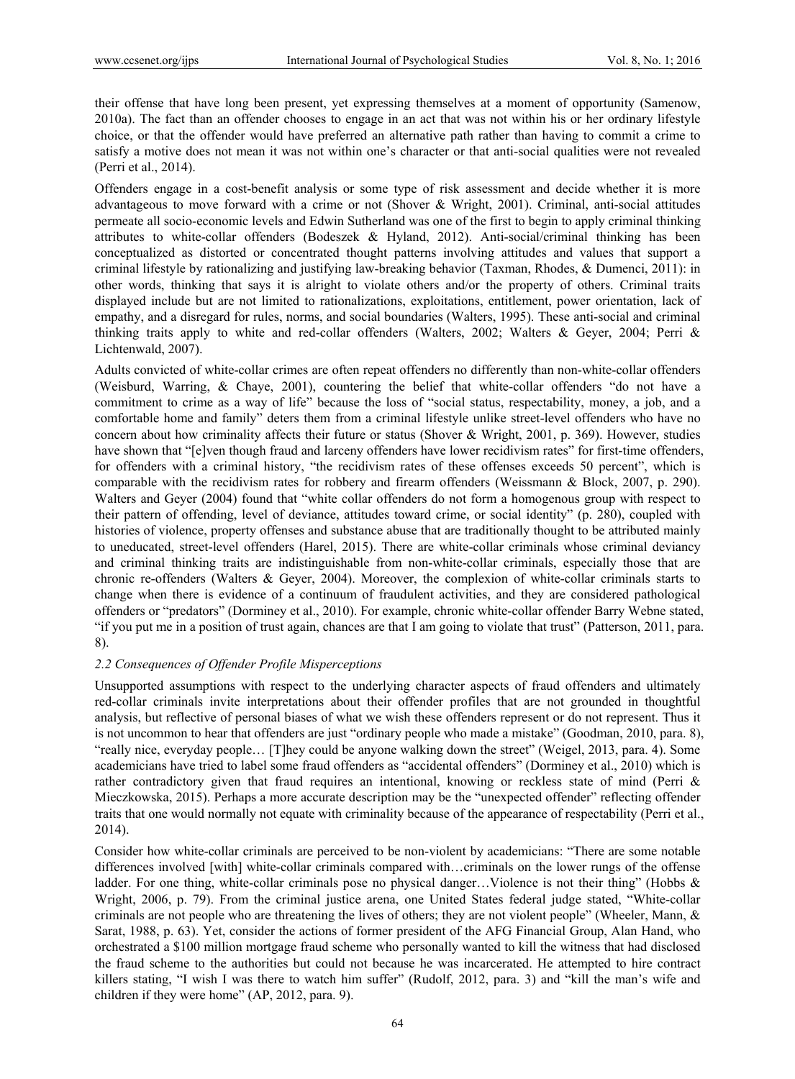their offense that have long been present, yet expressing themselves at a moment of opportunity (Samenow, 2010a). The fact than an offender chooses to engage in an act that was not within his or her ordinary lifestyle choice, or that the offender would have preferred an alternative path rather than having to commit a crime to satisfy a motive does not mean it was not within one's character or that anti-social qualities were not revealed (Perri et al., 2014).

Offenders engage in a cost-benefit analysis or some type of risk assessment and decide whether it is more advantageous to move forward with a crime or not (Shover & Wright, 2001). Criminal, anti-social attitudes permeate all socio-economic levels and Edwin Sutherland was one of the first to begin to apply criminal thinking attributes to white-collar offenders (Bodeszek & Hyland, 2012). Anti-social/criminal thinking has been conceptualized as distorted or concentrated thought patterns involving attitudes and values that support a criminal lifestyle by rationalizing and justifying law-breaking behavior (Taxman, Rhodes, & Dumenci, 2011): in other words, thinking that says it is alright to violate others and/or the property of others. Criminal traits displayed include but are not limited to rationalizations, exploitations, entitlement, power orientation, lack of empathy, and a disregard for rules, norms, and social boundaries (Walters, 1995). These anti-social and criminal thinking traits apply to white and red-collar offenders (Walters, 2002; Walters & Geyer, 2004; Perri & Lichtenwald, 2007).

Adults convicted of white-collar crimes are often repeat offenders no differently than non-white-collar offenders (Weisburd, Warring, & Chaye, 2001), countering the belief that white-collar offenders "do not have a commitment to crime as a way of life" because the loss of "social status, respectability, money, a job, and a comfortable home and family" deters them from a criminal lifestyle unlike street-level offenders who have no concern about how criminality affects their future or status (Shover & Wright, 2001, p. 369). However, studies have shown that "[e]ven though fraud and larceny offenders have lower recidivism rates" for first-time offenders, for offenders with a criminal history, "the recidivism rates of these offenses exceeds 50 percent", which is comparable with the recidivism rates for robbery and firearm offenders (Weissmann & Block, 2007, p. 290). Walters and Geyer (2004) found that "white collar offenders do not form a homogenous group with respect to their pattern of offending, level of deviance, attitudes toward crime, or social identity" (p. 280), coupled with histories of violence, property offenses and substance abuse that are traditionally thought to be attributed mainly to uneducated, street-level offenders (Harel, 2015). There are white-collar criminals whose criminal deviancy and criminal thinking traits are indistinguishable from non-white-collar criminals, especially those that are chronic re-offenders (Walters & Geyer, 2004). Moreover, the complexion of white-collar criminals starts to change when there is evidence of a continuum of fraudulent activities, and they are considered pathological offenders or "predators" (Dorminey et al., 2010). For example, chronic white-collar offender Barry Webne stated, "if you put me in a position of trust again, chances are that I am going to violate that trust" (Patterson, 2011, para. 8).

### *2.2 Consequences of Offender Profile Misperceptions*

Unsupported assumptions with respect to the underlying character aspects of fraud offenders and ultimately red-collar criminals invite interpretations about their offender profiles that are not grounded in thoughtful analysis, but reflective of personal biases of what we wish these offenders represent or do not represent. Thus it is not uncommon to hear that offenders are just "ordinary people who made a mistake" (Goodman, 2010, para. 8), "really nice, everyday people… [T]hey could be anyone walking down the street" (Weigel, 2013, para. 4). Some academicians have tried to label some fraud offenders as "accidental offenders" (Dorminey et al., 2010) which is rather contradictory given that fraud requires an intentional, knowing or reckless state of mind (Perri & Mieczkowska, 2015). Perhaps a more accurate description may be the "unexpected offender" reflecting offender traits that one would normally not equate with criminality because of the appearance of respectability (Perri et al., 2014).

Consider how white-collar criminals are perceived to be non-violent by academicians: "There are some notable differences involved [with] white-collar criminals compared with…criminals on the lower rungs of the offense ladder. For one thing, white-collar criminals pose no physical danger...Violence is not their thing" (Hobbs & Wright, 2006, p. 79). From the criminal justice arena, one United States federal judge stated, "White-collar criminals are not people who are threatening the lives of others; they are not violent people" (Wheeler, Mann, & Sarat, 1988, p. 63). Yet, consider the actions of former president of the AFG Financial Group, Alan Hand, who orchestrated a \$100 million mortgage fraud scheme who personally wanted to kill the witness that had disclosed the fraud scheme to the authorities but could not because he was incarcerated. He attempted to hire contract killers stating, "I wish I was there to watch him suffer" (Rudolf, 2012, para. 3) and "kill the man's wife and children if they were home" (AP, 2012, para. 9).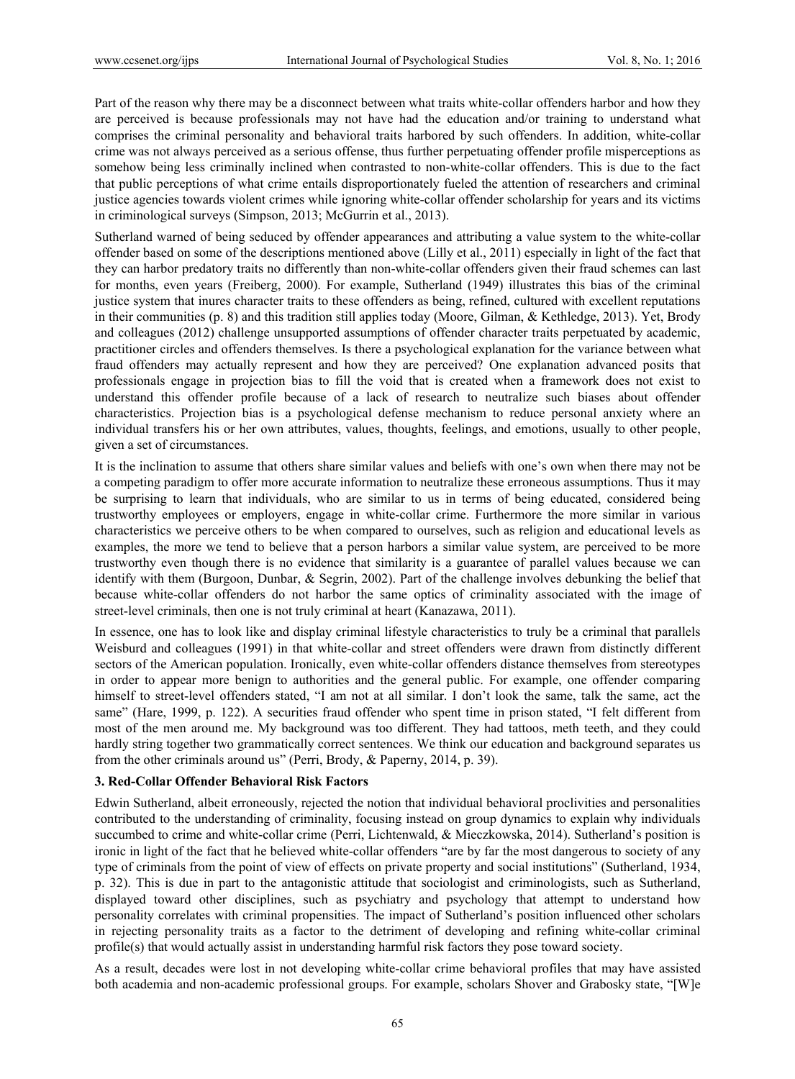Part of the reason why there may be a disconnect between what traits white-collar offenders harbor and how they are perceived is because professionals may not have had the education and/or training to understand what comprises the criminal personality and behavioral traits harbored by such offenders. In addition, white-collar crime was not always perceived as a serious offense, thus further perpetuating offender profile misperceptions as somehow being less criminally inclined when contrasted to non-white-collar offenders. This is due to the fact that public perceptions of what crime entails disproportionately fueled the attention of researchers and criminal justice agencies towards violent crimes while ignoring white-collar offender scholarship for years and its victims in criminological surveys (Simpson, 2013; McGurrin et al., 2013).

Sutherland warned of being seduced by offender appearances and attributing a value system to the white-collar offender based on some of the descriptions mentioned above (Lilly et al., 2011) especially in light of the fact that they can harbor predatory traits no differently than non-white-collar offenders given their fraud schemes can last for months, even years (Freiberg, 2000). For example, Sutherland (1949) illustrates this bias of the criminal justice system that inures character traits to these offenders as being, refined, cultured with excellent reputations in their communities (p. 8) and this tradition still applies today (Moore, Gilman, & Kethledge, 2013). Yet, Brody and colleagues (2012) challenge unsupported assumptions of offender character traits perpetuated by academic, practitioner circles and offenders themselves. Is there a psychological explanation for the variance between what fraud offenders may actually represent and how they are perceived? One explanation advanced posits that professionals engage in projection bias to fill the void that is created when a framework does not exist to understand this offender profile because of a lack of research to neutralize such biases about offender characteristics. Projection bias is a psychological defense mechanism to reduce personal anxiety where an individual transfers his or her own attributes, values, thoughts, feelings, and emotions, usually to other people, given a set of circumstances.

It is the inclination to assume that others share similar values and beliefs with one's own when there may not be a competing paradigm to offer more accurate information to neutralize these erroneous assumptions. Thus it may be surprising to learn that individuals, who are similar to us in terms of being educated, considered being trustworthy employees or employers, engage in white-collar crime. Furthermore the more similar in various characteristics we perceive others to be when compared to ourselves, such as religion and educational levels as examples, the more we tend to believe that a person harbors a similar value system, are perceived to be more trustworthy even though there is no evidence that similarity is a guarantee of parallel values because we can identify with them (Burgoon, Dunbar, & Segrin, 2002). Part of the challenge involves debunking the belief that because white-collar offenders do not harbor the same optics of criminality associated with the image of street-level criminals, then one is not truly criminal at heart (Kanazawa, 2011).

In essence, one has to look like and display criminal lifestyle characteristics to truly be a criminal that parallels Weisburd and colleagues (1991) in that white-collar and street offenders were drawn from distinctly different sectors of the American population. Ironically, even white-collar offenders distance themselves from stereotypes in order to appear more benign to authorities and the general public. For example, one offender comparing himself to street-level offenders stated, "I am not at all similar. I don't look the same, talk the same, act the same" (Hare, 1999, p. 122). A securities fraud offender who spent time in prison stated, "I felt different from most of the men around me. My background was too different. They had tattoos, meth teeth, and they could hardly string together two grammatically correct sentences. We think our education and background separates us from the other criminals around us" (Perri, Brody, & Paperny, 2014, p. 39).

#### **3. Red-Collar Offender Behavioral Risk Factors**

Edwin Sutherland, albeit erroneously, rejected the notion that individual behavioral proclivities and personalities contributed to the understanding of criminality, focusing instead on group dynamics to explain why individuals succumbed to crime and white-collar crime (Perri, Lichtenwald, & Mieczkowska, 2014). Sutherland's position is ironic in light of the fact that he believed white-collar offenders "are by far the most dangerous to society of any type of criminals from the point of view of effects on private property and social institutions" (Sutherland, 1934, p. 32). This is due in part to the antagonistic attitude that sociologist and criminologists, such as Sutherland, displayed toward other disciplines, such as psychiatry and psychology that attempt to understand how personality correlates with criminal propensities. The impact of Sutherland's position influenced other scholars in rejecting personality traits as a factor to the detriment of developing and refining white-collar criminal profile(s) that would actually assist in understanding harmful risk factors they pose toward society.

As a result, decades were lost in not developing white-collar crime behavioral profiles that may have assisted both academia and non-academic professional groups. For example, scholars Shover and Grabosky state, "[W]e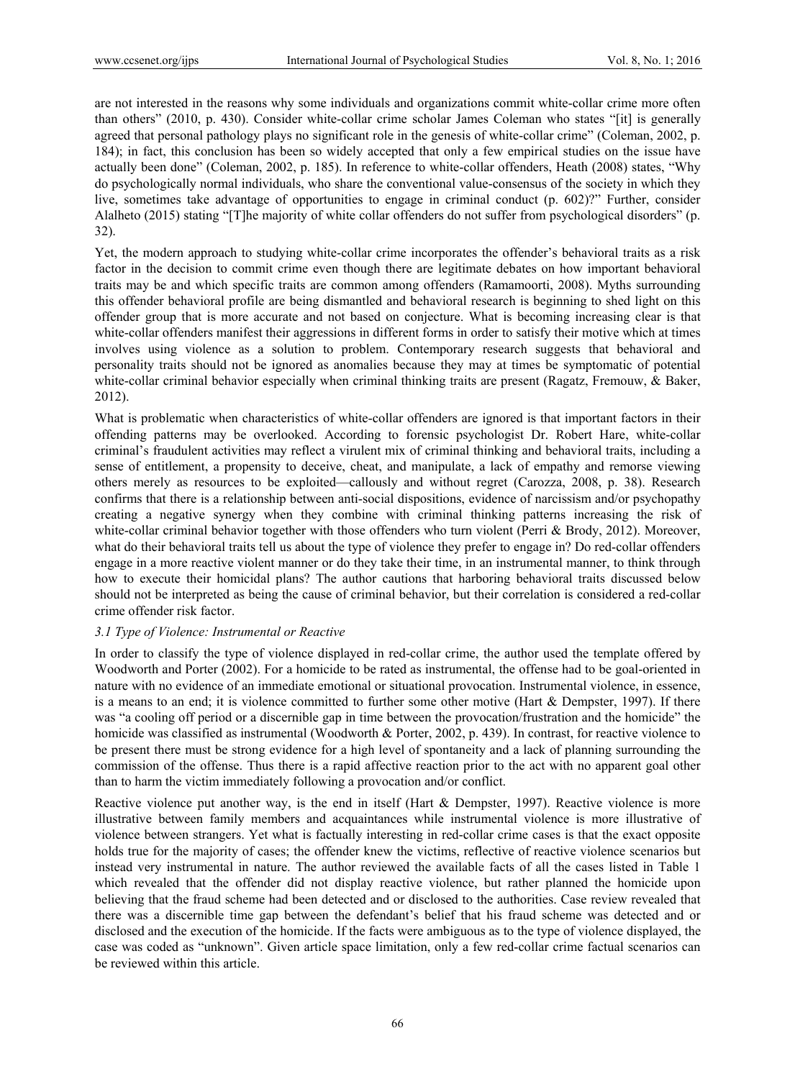are not interested in the reasons why some individuals and organizations commit white-collar crime more often than others" (2010, p. 430). Consider white-collar crime scholar James Coleman who states "[it] is generally agreed that personal pathology plays no significant role in the genesis of white-collar crime" (Coleman, 2002, p. 184); in fact, this conclusion has been so widely accepted that only a few empirical studies on the issue have actually been done" (Coleman, 2002, p. 185). In reference to white-collar offenders, Heath (2008) states, "Why do psychologically normal individuals, who share the conventional value-consensus of the society in which they live, sometimes take advantage of opportunities to engage in criminal conduct (p. 602)?" Further, consider Alalheto (2015) stating "[T]he majority of white collar offenders do not suffer from psychological disorders" (p. 32).

Yet, the modern approach to studying white-collar crime incorporates the offender's behavioral traits as a risk factor in the decision to commit crime even though there are legitimate debates on how important behavioral traits may be and which specific traits are common among offenders (Ramamoorti, 2008). Myths surrounding this offender behavioral profile are being dismantled and behavioral research is beginning to shed light on this offender group that is more accurate and not based on conjecture. What is becoming increasing clear is that white-collar offenders manifest their aggressions in different forms in order to satisfy their motive which at times involves using violence as a solution to problem. Contemporary research suggests that behavioral and personality traits should not be ignored as anomalies because they may at times be symptomatic of potential white-collar criminal behavior especially when criminal thinking traits are present (Ragatz, Fremouw, & Baker, 2012).

What is problematic when characteristics of white-collar offenders are ignored is that important factors in their offending patterns may be overlooked. According to forensic psychologist Dr. Robert Hare, white-collar criminal's fraudulent activities may reflect a virulent mix of criminal thinking and behavioral traits, including a sense of entitlement, a propensity to deceive, cheat, and manipulate, a lack of empathy and remorse viewing others merely as resources to be exploited—callously and without regret (Carozza, 2008, p. 38). Research confirms that there is a relationship between anti-social dispositions, evidence of narcissism and/or psychopathy creating a negative synergy when they combine with criminal thinking patterns increasing the risk of white-collar criminal behavior together with those offenders who turn violent (Perri & Brody, 2012). Moreover, what do their behavioral traits tell us about the type of violence they prefer to engage in? Do red-collar offenders engage in a more reactive violent manner or do they take their time, in an instrumental manner, to think through how to execute their homicidal plans? The author cautions that harboring behavioral traits discussed below should not be interpreted as being the cause of criminal behavior, but their correlation is considered a red-collar crime offender risk factor.

### *3.1 Type of Violence: Instrumental or Reactive*

In order to classify the type of violence displayed in red-collar crime, the author used the template offered by Woodworth and Porter (2002). For a homicide to be rated as instrumental, the offense had to be goal-oriented in nature with no evidence of an immediate emotional or situational provocation. Instrumental violence, in essence, is a means to an end; it is violence committed to further some other motive (Hart & Dempster, 1997). If there was "a cooling off period or a discernible gap in time between the provocation/frustration and the homicide" the homicide was classified as instrumental (Woodworth & Porter, 2002, p. 439). In contrast, for reactive violence to be present there must be strong evidence for a high level of spontaneity and a lack of planning surrounding the commission of the offense. Thus there is a rapid affective reaction prior to the act with no apparent goal other than to harm the victim immediately following a provocation and/or conflict.

Reactive violence put another way, is the end in itself (Hart & Dempster, 1997). Reactive violence is more illustrative between family members and acquaintances while instrumental violence is more illustrative of violence between strangers. Yet what is factually interesting in red-collar crime cases is that the exact opposite holds true for the majority of cases; the offender knew the victims, reflective of reactive violence scenarios but instead very instrumental in nature. The author reviewed the available facts of all the cases listed in Table 1 which revealed that the offender did not display reactive violence, but rather planned the homicide upon believing that the fraud scheme had been detected and or disclosed to the authorities. Case review revealed that there was a discernible time gap between the defendant's belief that his fraud scheme was detected and or disclosed and the execution of the homicide. If the facts were ambiguous as to the type of violence displayed, the case was coded as "unknown". Given article space limitation, only a few red-collar crime factual scenarios can be reviewed within this article.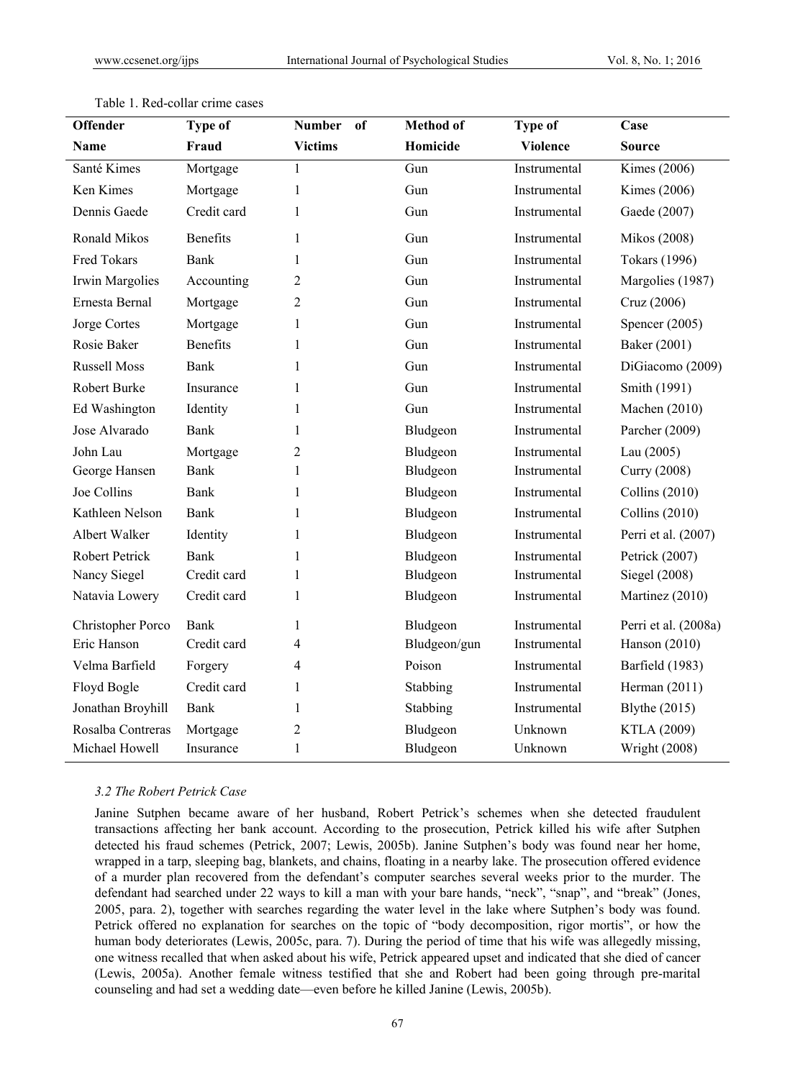| <b>Offender</b>     | <b>Type of</b>  | <b>Number</b><br>of      | <b>Method</b> of                      | <b>Type of</b>                       | Case                  |
|---------------------|-----------------|--------------------------|---------------------------------------|--------------------------------------|-----------------------|
| Name                | Fraud           | <b>Victims</b>           | Homicide<br><b>Violence</b><br>Source |                                      |                       |
| Santé Kimes         | Mortgage        | $\mathbf{1}$             | Gun                                   | Instrumental                         | Kimes (2006)          |
| Ken Kimes           | Mortgage        | 1                        | Gun                                   | Instrumental                         | Kimes (2006)          |
| Dennis Gaede        | Credit card     | 1                        | Gun                                   | Instrumental                         | Gaede (2007)          |
| Ronald Mikos        | <b>Benefits</b> | 1                        | Gun                                   | Instrumental                         | Mikos (2008)          |
| Fred Tokars         | Bank            | 1                        | Gun                                   | Instrumental                         | Tokars (1996)         |
| Irwin Margolies     | Accounting      | $\overline{2}$           | Gun                                   | <b>Instrumental</b>                  | Margolies (1987)      |
| Ernesta Bernal      | Mortgage        | $\overline{c}$           | Gun                                   | Instrumental                         | Cruz (2006)           |
| Jorge Cortes        | Mortgage        | 1                        | Gun                                   | Instrumental                         | Spencer (2005)        |
| Rosie Baker         | <b>Benefits</b> | 1                        | Gun                                   | Instrumental                         | Baker (2001)          |
| <b>Russell Moss</b> | <b>Bank</b>     | 1                        | Gun                                   | Instrumental                         | DiGiacomo (2009)      |
| Robert Burke        | Insurance       | 1                        | Gun                                   | Instrumental                         | Smith (1991)          |
| Ed Washington       | Identity        | 1                        | Gun                                   | Instrumental                         | Machen (2010)         |
| Jose Alvarado       | <b>Bank</b>     | 1                        | Bludgeon                              | Instrumental                         | Parcher (2009)        |
| John Lau            | Mortgage        | $\overline{2}$           | Bludgeon                              | Instrumental                         | Lau (2005)            |
| George Hansen       | Bank            | 1                        | Bludgeon                              | Instrumental                         | <b>Curry (2008)</b>   |
| Joe Collins         | Bank            | 1                        | Bludgeon                              | Instrumental                         | <b>Collins</b> (2010) |
| Kathleen Nelson     | Bank            | 1                        | Bludgeon                              | Instrumental                         | Collins $(2010)$      |
| Albert Walker       | Identity        | 1                        | Bludgeon                              | <b>Instrumental</b>                  | Perri et al. (2007)   |
| Robert Petrick      | <b>Bank</b>     | 1                        | Bludgeon                              | Instrumental                         | Petrick (2007)        |
| Nancy Siegel        | Credit card     | 1                        | Bludgeon                              | Instrumental                         | Siegel (2008)         |
| Natavia Lowery      | Credit card     | 1                        | Bludgeon                              | Instrumental                         | Martinez (2010)       |
| Christopher Porco   | Bank            | 1                        | Bludgeon                              | Instrumental                         | Perri et al. (2008a)  |
| Eric Hanson         | Credit card     | 4                        | Bludgeon/gun                          | Instrumental                         | Hanson (2010)         |
| Velma Barfield      | Forgery         | $\overline{\mathcal{L}}$ | Poison                                | Instrumental                         | Barfield (1983)       |
| Floyd Bogle         | Credit card     | 1                        | Stabbing                              | Instrumental                         |                       |
| Jonathan Broyhill   | Bank            | 1                        | Stabbing                              | <b>Blythe (2015)</b><br>Instrumental |                       |
| Rosalba Contreras   | Mortgage        | $\overline{c}$           | Bludgeon                              | Unknown                              | KTLA (2009)           |
| Michael Howell      | Insurance       | $\mathbf{1}$             | Bludgeon                              | Unknown                              | <b>Wright (2008)</b>  |

#### Table 1. Red-collar crime cases

### *3.2 The Robert Petrick Case*

Janine Sutphen became aware of her husband, Robert Petrick's schemes when she detected fraudulent transactions affecting her bank account. According to the prosecution, Petrick killed his wife after Sutphen detected his fraud schemes (Petrick, 2007; Lewis, 2005b). Janine Sutphen's body was found near her home, wrapped in a tarp, sleeping bag, blankets, and chains, floating in a nearby lake. The prosecution offered evidence of a murder plan recovered from the defendant's computer searches several weeks prior to the murder. The defendant had searched under 22 ways to kill a man with your bare hands, "neck", "snap", and "break" (Jones, 2005, para. 2), together with searches regarding the water level in the lake where Sutphen's body was found. Petrick offered no explanation for searches on the topic of "body decomposition, rigor mortis", or how the human body deteriorates (Lewis, 2005c, para. 7). During the period of time that his wife was allegedly missing, one witness recalled that when asked about his wife, Petrick appeared upset and indicated that she died of cancer (Lewis, 2005a). Another female witness testified that she and Robert had been going through pre-marital counseling and had set a wedding date—even before he killed Janine (Lewis, 2005b).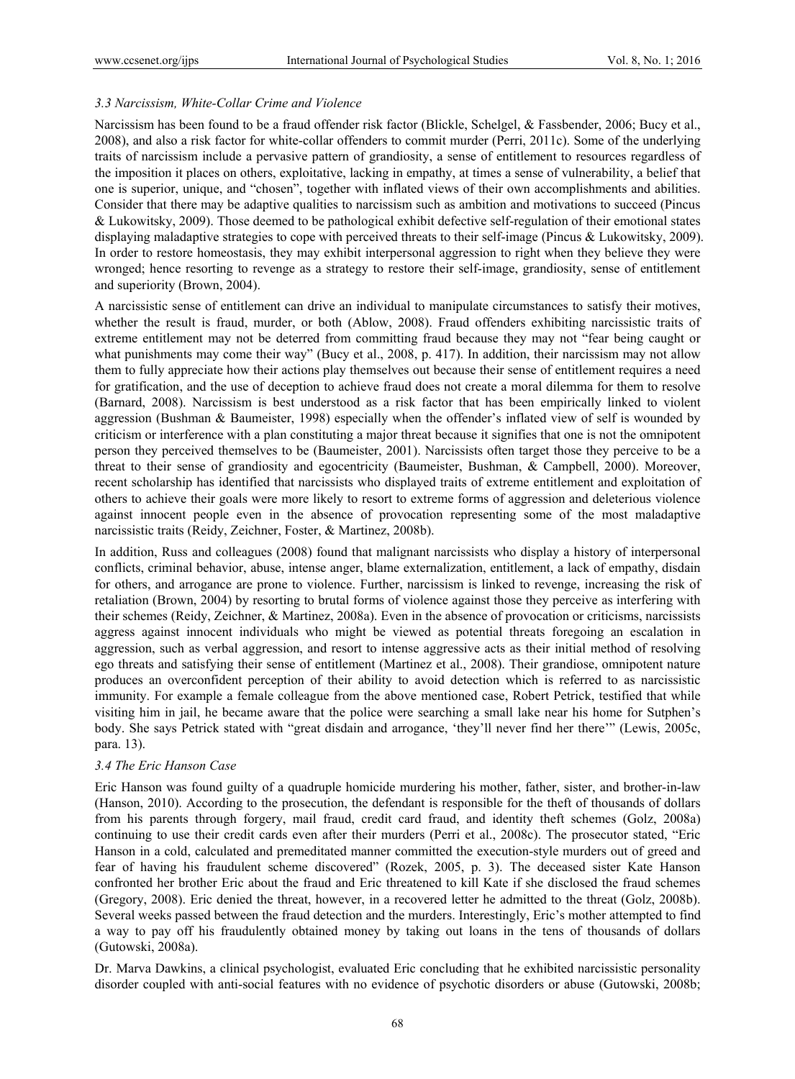### *3.3 Narcissism, White-Collar Crime and Violence*

Narcissism has been found to be a fraud offender risk factor (Blickle, Schelgel, & Fassbender, 2006; Bucy et al., 2008), and also a risk factor for white-collar offenders to commit murder (Perri, 2011c). Some of the underlying traits of narcissism include a pervasive pattern of grandiosity, a sense of entitlement to resources regardless of the imposition it places on others, exploitative, lacking in empathy, at times a sense of vulnerability, a belief that one is superior, unique, and "chosen", together with inflated views of their own accomplishments and abilities. Consider that there may be adaptive qualities to narcissism such as ambition and motivations to succeed (Pincus & Lukowitsky, 2009). Those deemed to be pathological exhibit defective self-regulation of their emotional states displaying maladaptive strategies to cope with perceived threats to their self-image (Pincus & Lukowitsky, 2009). In order to restore homeostasis, they may exhibit interpersonal aggression to right when they believe they were wronged; hence resorting to revenge as a strategy to restore their self-image, grandiosity, sense of entitlement and superiority (Brown, 2004).

A narcissistic sense of entitlement can drive an individual to manipulate circumstances to satisfy their motives, whether the result is fraud, murder, or both (Ablow, 2008). Fraud offenders exhibiting narcissistic traits of extreme entitlement may not be deterred from committing fraud because they may not "fear being caught or what punishments may come their way" (Bucy et al., 2008, p. 417). In addition, their narcissism may not allow them to fully appreciate how their actions play themselves out because their sense of entitlement requires a need for gratification, and the use of deception to achieve fraud does not create a moral dilemma for them to resolve (Barnard, 2008). Narcissism is best understood as a risk factor that has been empirically linked to violent aggression (Bushman & Baumeister, 1998) especially when the offender's inflated view of self is wounded by criticism or interference with a plan constituting a major threat because it signifies that one is not the omnipotent person they perceived themselves to be (Baumeister, 2001). Narcissists often target those they perceive to be a threat to their sense of grandiosity and egocentricity (Baumeister, Bushman, & Campbell, 2000). Moreover, recent scholarship has identified that narcissists who displayed traits of extreme entitlement and exploitation of others to achieve their goals were more likely to resort to extreme forms of aggression and deleterious violence against innocent people even in the absence of provocation representing some of the most maladaptive narcissistic traits (Reidy, Zeichner, Foster, & Martinez, 2008b).

In addition, Russ and colleagues (2008) found that malignant narcissists who display a history of interpersonal conflicts, criminal behavior, abuse, intense anger, blame externalization, entitlement, a lack of empathy, disdain for others, and arrogance are prone to violence. Further, narcissism is linked to revenge, increasing the risk of retaliation (Brown, 2004) by resorting to brutal forms of violence against those they perceive as interfering with their schemes (Reidy, Zeichner, & Martinez, 2008a). Even in the absence of provocation or criticisms, narcissists aggress against innocent individuals who might be viewed as potential threats foregoing an escalation in aggression, such as verbal aggression, and resort to intense aggressive acts as their initial method of resolving ego threats and satisfying their sense of entitlement (Martinez et al., 2008). Their grandiose, omnipotent nature produces an overconfident perception of their ability to avoid detection which is referred to as narcissistic immunity. For example a female colleague from the above mentioned case, Robert Petrick, testified that while visiting him in jail, he became aware that the police were searching a small lake near his home for Sutphen's body. She says Petrick stated with "great disdain and arrogance, 'they'll never find her there'" (Lewis, 2005c, para. 13).

### *3.4 The Eric Hanson Case*

Eric Hanson was found guilty of a quadruple homicide murdering his mother, father, sister, and brother-in-law (Hanson, 2010). According to the prosecution, the defendant is responsible for the theft of thousands of dollars from his parents through forgery, mail fraud, credit card fraud, and identity theft schemes (Golz, 2008a) continuing to use their credit cards even after their murders (Perri et al., 2008c). The prosecutor stated, "Eric Hanson in a cold, calculated and premeditated manner committed the execution-style murders out of greed and fear of having his fraudulent scheme discovered" (Rozek, 2005, p. 3). The deceased sister Kate Hanson confronted her brother Eric about the fraud and Eric threatened to kill Kate if she disclosed the fraud schemes (Gregory, 2008). Eric denied the threat, however, in a recovered letter he admitted to the threat (Golz, 2008b). Several weeks passed between the fraud detection and the murders. Interestingly, Eric's mother attempted to find a way to pay off his fraudulently obtained money by taking out loans in the tens of thousands of dollars (Gutowski, 2008a).

Dr. Marva Dawkins, a clinical psychologist, evaluated Eric concluding that he exhibited narcissistic personality disorder coupled with anti-social features with no evidence of psychotic disorders or abuse (Gutowski, 2008b;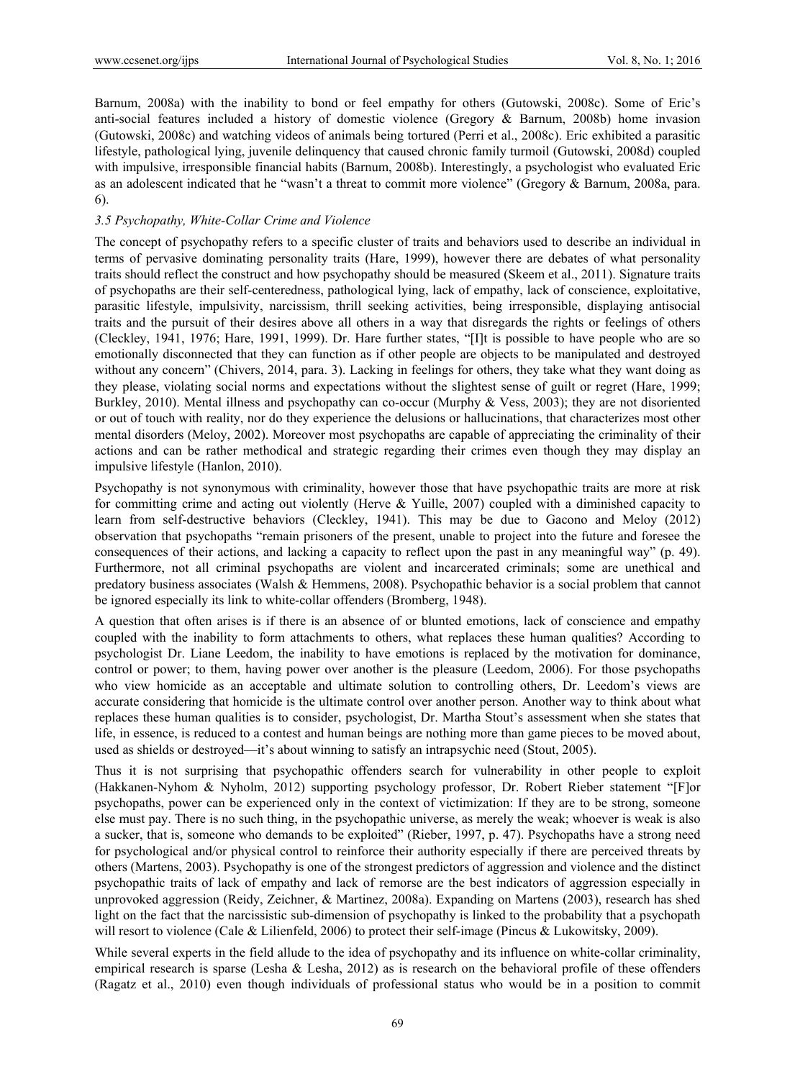Barnum, 2008a) with the inability to bond or feel empathy for others (Gutowski, 2008c). Some of Eric's anti-social features included a history of domestic violence (Gregory & Barnum, 2008b) home invasion (Gutowski, 2008c) and watching videos of animals being tortured (Perri et al., 2008c). Eric exhibited a parasitic lifestyle, pathological lying, juvenile delinquency that caused chronic family turmoil (Gutowski, 2008d) coupled with impulsive, irresponsible financial habits (Barnum, 2008b). Interestingly, a psychologist who evaluated Eric as an adolescent indicated that he "wasn't a threat to commit more violence" (Gregory & Barnum, 2008a, para. 6).

# *3.5 Psychopathy, White-Collar Crime and Violence*

The concept of psychopathy refers to a specific cluster of traits and behaviors used to describe an individual in terms of pervasive dominating personality traits (Hare, 1999), however there are debates of what personality traits should reflect the construct and how psychopathy should be measured (Skeem et al., 2011). Signature traits of psychopaths are their self-centeredness, pathological lying, lack of empathy, lack of conscience, exploitative, parasitic lifestyle, impulsivity, narcissism, thrill seeking activities, being irresponsible, displaying antisocial traits and the pursuit of their desires above all others in a way that disregards the rights or feelings of others (Cleckley, 1941, 1976; Hare, 1991, 1999). Dr. Hare further states, "[I]t is possible to have people who are so emotionally disconnected that they can function as if other people are objects to be manipulated and destroyed without any concern" (Chivers, 2014, para. 3). Lacking in feelings for others, they take what they want doing as they please, violating social norms and expectations without the slightest sense of guilt or regret (Hare, 1999; Burkley, 2010). Mental illness and psychopathy can co-occur (Murphy & Vess, 2003); they are not disoriented or out of touch with reality, nor do they experience the delusions or hallucinations, that characterizes most other mental disorders (Meloy, 2002). Moreover most psychopaths are capable of appreciating the criminality of their actions and can be rather methodical and strategic regarding their crimes even though they may display an impulsive lifestyle (Hanlon, 2010).

Psychopathy is not synonymous with criminality, however those that have psychopathic traits are more at risk for committing crime and acting out violently (Herve & Yuille, 2007) coupled with a diminished capacity to learn from self-destructive behaviors (Cleckley, 1941). This may be due to Gacono and Meloy (2012) observation that psychopaths "remain prisoners of the present, unable to project into the future and foresee the consequences of their actions, and lacking a capacity to reflect upon the past in any meaningful way" (p. 49). Furthermore, not all criminal psychopaths are violent and incarcerated criminals; some are unethical and predatory business associates (Walsh & Hemmens, 2008). Psychopathic behavior is a social problem that cannot be ignored especially its link to white-collar offenders (Bromberg, 1948).

A question that often arises is if there is an absence of or blunted emotions, lack of conscience and empathy coupled with the inability to form attachments to others, what replaces these human qualities? According to psychologist Dr. Liane Leedom, the inability to have emotions is replaced by the motivation for dominance, control or power; to them, having power over another is the pleasure (Leedom, 2006). For those psychopaths who view homicide as an acceptable and ultimate solution to controlling others, Dr. Leedom's views are accurate considering that homicide is the ultimate control over another person. Another way to think about what replaces these human qualities is to consider, psychologist, Dr. Martha Stout's assessment when she states that life, in essence, is reduced to a contest and human beings are nothing more than game pieces to be moved about, used as shields or destroyed—it's about winning to satisfy an intrapsychic need (Stout, 2005).

Thus it is not surprising that psychopathic offenders search for vulnerability in other people to exploit (Hakkanen-Nyhom & Nyholm, 2012) supporting psychology professor, Dr. Robert Rieber statement "[F]or psychopaths, power can be experienced only in the context of victimization: If they are to be strong, someone else must pay. There is no such thing, in the psychopathic universe, as merely the weak; whoever is weak is also a sucker, that is, someone who demands to be exploited" (Rieber, 1997, p. 47). Psychopaths have a strong need for psychological and/or physical control to reinforce their authority especially if there are perceived threats by others (Martens, 2003). Psychopathy is one of the strongest predictors of aggression and violence and the distinct psychopathic traits of lack of empathy and lack of remorse are the best indicators of aggression especially in unprovoked aggression (Reidy, Zeichner, & Martinez, 2008a). Expanding on Martens (2003), research has shed light on the fact that the narcissistic sub-dimension of psychopathy is linked to the probability that a psychopath will resort to violence (Cale & Lilienfeld, 2006) to protect their self-image (Pincus & Lukowitsky, 2009).

While several experts in the field allude to the idea of psychopathy and its influence on white-collar criminality, empirical research is sparse (Lesha & Lesha, 2012) as is research on the behavioral profile of these offenders (Ragatz et al., 2010) even though individuals of professional status who would be in a position to commit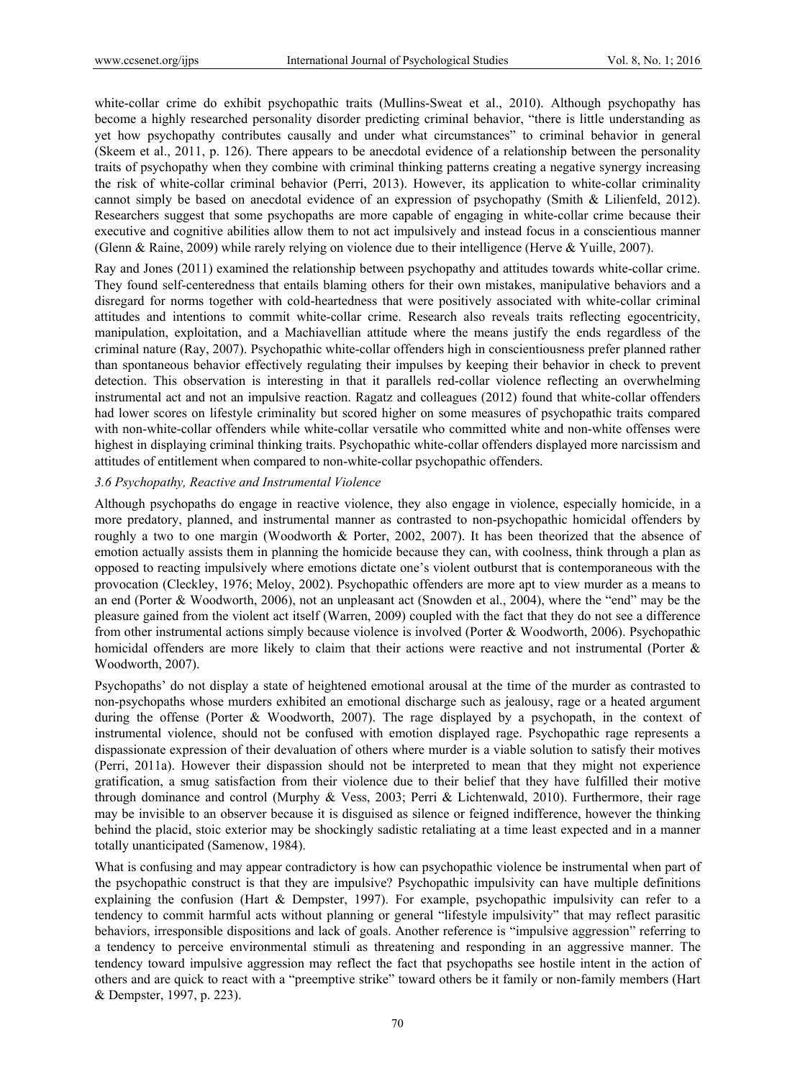white-collar crime do exhibit psychopathic traits (Mullins-Sweat et al., 2010). Although psychopathy has become a highly researched personality disorder predicting criminal behavior, "there is little understanding as yet how psychopathy contributes causally and under what circumstances" to criminal behavior in general (Skeem et al., 2011, p. 126). There appears to be anecdotal evidence of a relationship between the personality traits of psychopathy when they combine with criminal thinking patterns creating a negative synergy increasing the risk of white-collar criminal behavior (Perri, 2013). However, its application to white-collar criminality cannot simply be based on anecdotal evidence of an expression of psychopathy (Smith & Lilienfeld, 2012). Researchers suggest that some psychopaths are more capable of engaging in white-collar crime because their executive and cognitive abilities allow them to not act impulsively and instead focus in a conscientious manner (Glenn & Raine, 2009) while rarely relying on violence due to their intelligence (Herve & Yuille, 2007).

Ray and Jones (2011) examined the relationship between psychopathy and attitudes towards white-collar crime. They found self-centeredness that entails blaming others for their own mistakes, manipulative behaviors and a disregard for norms together with cold-heartedness that were positively associated with white-collar criminal attitudes and intentions to commit white-collar crime. Research also reveals traits reflecting egocentricity, manipulation, exploitation, and a Machiavellian attitude where the means justify the ends regardless of the criminal nature (Ray, 2007). Psychopathic white-collar offenders high in conscientiousness prefer planned rather than spontaneous behavior effectively regulating their impulses by keeping their behavior in check to prevent detection. This observation is interesting in that it parallels red-collar violence reflecting an overwhelming instrumental act and not an impulsive reaction. Ragatz and colleagues (2012) found that white-collar offenders had lower scores on lifestyle criminality but scored higher on some measures of psychopathic traits compared with non-white-collar offenders while white-collar versatile who committed white and non-white offenses were highest in displaying criminal thinking traits. Psychopathic white-collar offenders displayed more narcissism and attitudes of entitlement when compared to non-white-collar psychopathic offenders.

#### *3.6 Psychopathy, Reactive and Instrumental Violence*

Although psychopaths do engage in reactive violence, they also engage in violence, especially homicide, in a more predatory, planned, and instrumental manner as contrasted to non-psychopathic homicidal offenders by roughly a two to one margin (Woodworth & Porter, 2002, 2007). It has been theorized that the absence of emotion actually assists them in planning the homicide because they can, with coolness, think through a plan as opposed to reacting impulsively where emotions dictate one's violent outburst that is contemporaneous with the provocation (Cleckley, 1976; Meloy, 2002). Psychopathic offenders are more apt to view murder as a means to an end (Porter & Woodworth, 2006), not an unpleasant act (Snowden et al., 2004), where the "end" may be the pleasure gained from the violent act itself (Warren, 2009) coupled with the fact that they do not see a difference from other instrumental actions simply because violence is involved (Porter & Woodworth, 2006). Psychopathic homicidal offenders are more likely to claim that their actions were reactive and not instrumental (Porter & Woodworth, 2007).

Psychopaths' do not display a state of heightened emotional arousal at the time of the murder as contrasted to non-psychopaths whose murders exhibited an emotional discharge such as jealousy, rage or a heated argument during the offense (Porter & Woodworth, 2007). The rage displayed by a psychopath, in the context of instrumental violence, should not be confused with emotion displayed rage. Psychopathic rage represents a dispassionate expression of their devaluation of others where murder is a viable solution to satisfy their motives (Perri, 2011a). However their dispassion should not be interpreted to mean that they might not experience gratification, a smug satisfaction from their violence due to their belief that they have fulfilled their motive through dominance and control (Murphy & Vess, 2003; Perri & Lichtenwald, 2010). Furthermore, their rage may be invisible to an observer because it is disguised as silence or feigned indifference, however the thinking behind the placid, stoic exterior may be shockingly sadistic retaliating at a time least expected and in a manner totally unanticipated (Samenow, 1984).

What is confusing and may appear contradictory is how can psychopathic violence be instrumental when part of the psychopathic construct is that they are impulsive? Psychopathic impulsivity can have multiple definitions explaining the confusion (Hart & Dempster, 1997). For example, psychopathic impulsivity can refer to a tendency to commit harmful acts without planning or general "lifestyle impulsivity" that may reflect parasitic behaviors, irresponsible dispositions and lack of goals. Another reference is "impulsive aggression" referring to a tendency to perceive environmental stimuli as threatening and responding in an aggressive manner. The tendency toward impulsive aggression may reflect the fact that psychopaths see hostile intent in the action of others and are quick to react with a "preemptive strike" toward others be it family or non-family members (Hart & Dempster, 1997, p. 223).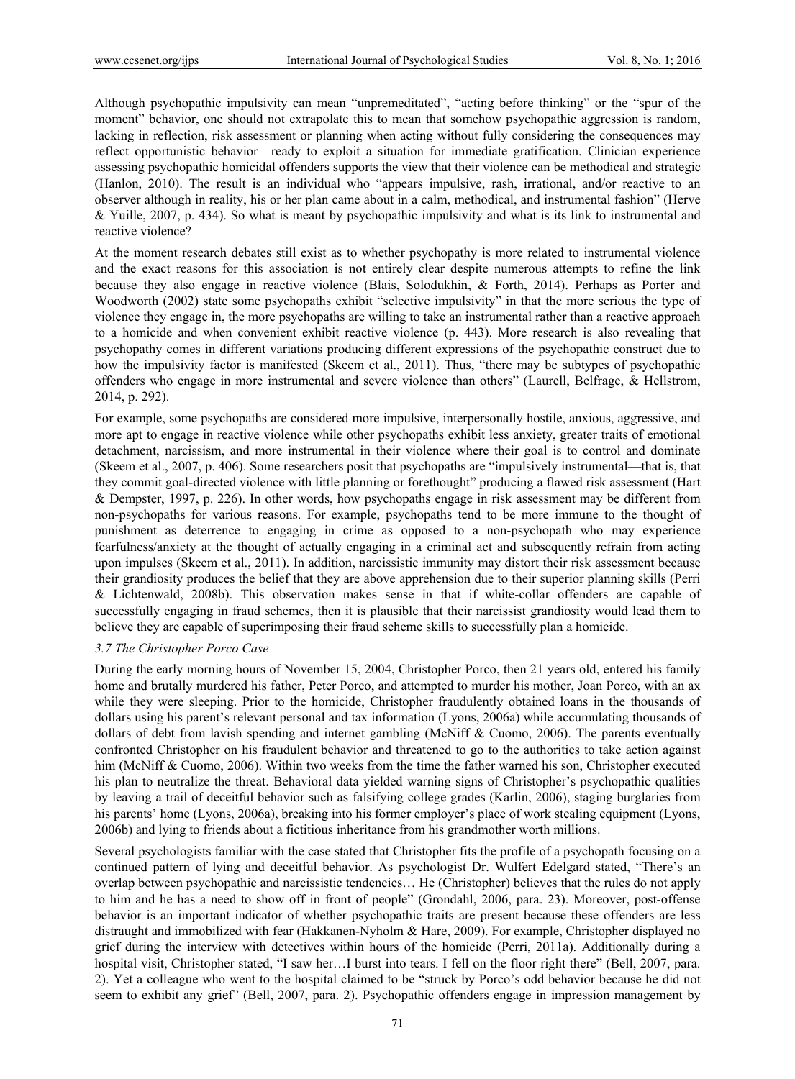Although psychopathic impulsivity can mean "unpremeditated", "acting before thinking" or the "spur of the moment" behavior, one should not extrapolate this to mean that somehow psychopathic aggression is random, lacking in reflection, risk assessment or planning when acting without fully considering the consequences may reflect opportunistic behavior—ready to exploit a situation for immediate gratification. Clinician experience assessing psychopathic homicidal offenders supports the view that their violence can be methodical and strategic (Hanlon, 2010). The result is an individual who "appears impulsive, rash, irrational, and/or reactive to an observer although in reality, his or her plan came about in a calm, methodical, and instrumental fashion" (Herve & Yuille, 2007, p. 434). So what is meant by psychopathic impulsivity and what is its link to instrumental and reactive violence?

At the moment research debates still exist as to whether psychopathy is more related to instrumental violence and the exact reasons for this association is not entirely clear despite numerous attempts to refine the link because they also engage in reactive violence (Blais, Solodukhin, & Forth, 2014). Perhaps as Porter and Woodworth (2002) state some psychopaths exhibit "selective impulsivity" in that the more serious the type of violence they engage in, the more psychopaths are willing to take an instrumental rather than a reactive approach to a homicide and when convenient exhibit reactive violence (p. 443). More research is also revealing that psychopathy comes in different variations producing different expressions of the psychopathic construct due to how the impulsivity factor is manifested (Skeem et al., 2011). Thus, "there may be subtypes of psychopathic offenders who engage in more instrumental and severe violence than others" (Laurell, Belfrage, & Hellstrom, 2014, p. 292).

For example, some psychopaths are considered more impulsive, interpersonally hostile, anxious, aggressive, and more apt to engage in reactive violence while other psychopaths exhibit less anxiety, greater traits of emotional detachment, narcissism, and more instrumental in their violence where their goal is to control and dominate (Skeem et al., 2007, p. 406). Some researchers posit that psychopaths are "impulsively instrumental—that is, that they commit goal-directed violence with little planning or forethought" producing a flawed risk assessment (Hart & Dempster, 1997, p. 226). In other words, how psychopaths engage in risk assessment may be different from non-psychopaths for various reasons. For example, psychopaths tend to be more immune to the thought of punishment as deterrence to engaging in crime as opposed to a non-psychopath who may experience fearfulness/anxiety at the thought of actually engaging in a criminal act and subsequently refrain from acting upon impulses (Skeem et al., 2011). In addition, narcissistic immunity may distort their risk assessment because their grandiosity produces the belief that they are above apprehension due to their superior planning skills (Perri & Lichtenwald, 2008b). This observation makes sense in that if white-collar offenders are capable of successfully engaging in fraud schemes, then it is plausible that their narcissist grandiosity would lead them to believe they are capable of superimposing their fraud scheme skills to successfully plan a homicide.

### *3.7 The Christopher Porco Case*

During the early morning hours of November 15, 2004, Christopher Porco, then 21 years old, entered his family home and brutally murdered his father, Peter Porco, and attempted to murder his mother, Joan Porco, with an ax while they were sleeping. Prior to the homicide, Christopher fraudulently obtained loans in the thousands of dollars using his parent's relevant personal and tax information (Lyons, 2006a) while accumulating thousands of dollars of debt from lavish spending and internet gambling (McNiff & Cuomo, 2006). The parents eventually confronted Christopher on his fraudulent behavior and threatened to go to the authorities to take action against him (McNiff & Cuomo, 2006). Within two weeks from the time the father warned his son, Christopher executed his plan to neutralize the threat. Behavioral data yielded warning signs of Christopher's psychopathic qualities by leaving a trail of deceitful behavior such as falsifying college grades (Karlin, 2006), staging burglaries from his parents' home (Lyons, 2006a), breaking into his former employer's place of work stealing equipment (Lyons, 2006b) and lying to friends about a fictitious inheritance from his grandmother worth millions.

Several psychologists familiar with the case stated that Christopher fits the profile of a psychopath focusing on a continued pattern of lying and deceitful behavior. As psychologist Dr. Wulfert Edelgard stated, "There's an overlap between psychopathic and narcissistic tendencies… He (Christopher) believes that the rules do not apply to him and he has a need to show off in front of people" (Grondahl, 2006, para. 23). Moreover, post-offense behavior is an important indicator of whether psychopathic traits are present because these offenders are less distraught and immobilized with fear (Hakkanen-Nyholm & Hare, 2009). For example, Christopher displayed no grief during the interview with detectives within hours of the homicide (Perri, 2011a). Additionally during a hospital visit, Christopher stated, "I saw her...I burst into tears. I fell on the floor right there" (Bell, 2007, para. 2). Yet a colleague who went to the hospital claimed to be "struck by Porco's odd behavior because he did not seem to exhibit any grief" (Bell, 2007, para. 2). Psychopathic offenders engage in impression management by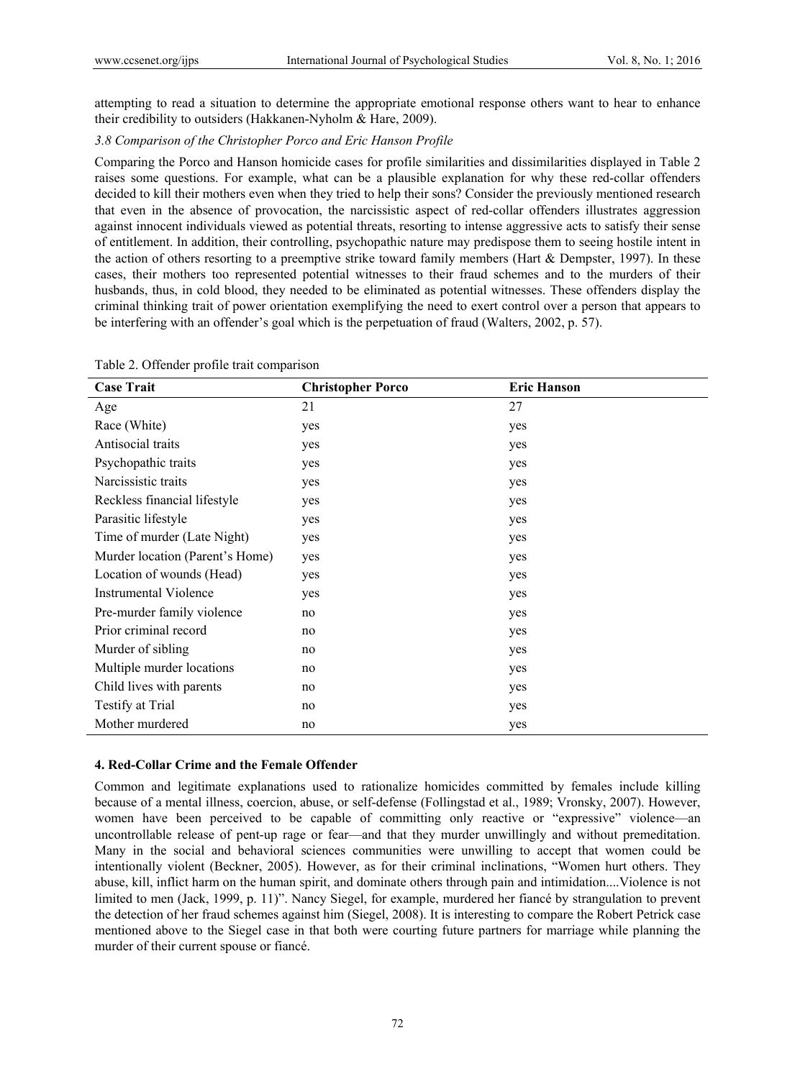attempting to read a situation to determine the appropriate emotional response others want to hear to enhance their credibility to outsiders (Hakkanen-Nyholm & Hare, 2009).

## *3.8 Comparison of the Christopher Porco and Eric Hanson Profile*

Comparing the Porco and Hanson homicide cases for profile similarities and dissimilarities displayed in Table 2 raises some questions. For example, what can be a plausible explanation for why these red-collar offenders decided to kill their mothers even when they tried to help their sons? Consider the previously mentioned research that even in the absence of provocation, the narcissistic aspect of red-collar offenders illustrates aggression against innocent individuals viewed as potential threats, resorting to intense aggressive acts to satisfy their sense of entitlement. In addition, their controlling, psychopathic nature may predispose them to seeing hostile intent in the action of others resorting to a preemptive strike toward family members (Hart & Dempster, 1997). In these cases, their mothers too represented potential witnesses to their fraud schemes and to the murders of their husbands, thus, in cold blood, they needed to be eliminated as potential witnesses. These offenders display the criminal thinking trait of power orientation exemplifying the need to exert control over a person that appears to be interfering with an offender's goal which is the perpetuation of fraud (Walters, 2002, p. 57).

| <b>Case Trait</b>               | <b>Christopher Porco</b> | <b>Eric Hanson</b> |
|---------------------------------|--------------------------|--------------------|
| Age                             | 21                       | 27                 |
| Race (White)                    | yes                      | yes                |
| Antisocial traits               | yes                      | yes                |
| Psychopathic traits             | yes                      | yes                |
| Narcissistic traits             | yes                      | yes                |
| Reckless financial lifestyle    | yes                      | yes                |
| Parasitic lifestyle             | yes                      | yes                |
| Time of murder (Late Night)     | yes                      | yes                |
| Murder location (Parent's Home) | yes                      | yes                |
| Location of wounds (Head)       | yes                      | yes                |
| <b>Instrumental Violence</b>    | yes                      | yes                |
| Pre-murder family violence      | no                       | yes                |
| Prior criminal record           | no                       | yes                |
| Murder of sibling               | no                       | yes                |
| Multiple murder locations       | no                       | yes                |
| Child lives with parents        | no                       | yes                |
| Testify at Trial                | no                       | yes                |
| Mother murdered                 | no                       | yes                |

|  |  | Table 2. Offender profile trait comparison |
|--|--|--------------------------------------------|
|  |  |                                            |

# **4. Red-Collar Crime and the Female Offender**

Common and legitimate explanations used to rationalize homicides committed by females include killing because of a mental illness, coercion, abuse, or self-defense (Follingstad et al., 1989; Vronsky, 2007). However, women have been perceived to be capable of committing only reactive or "expressive" violence—an uncontrollable release of pent-up rage or fear—and that they murder unwillingly and without premeditation. Many in the social and behavioral sciences communities were unwilling to accept that women could be intentionally violent (Beckner, 2005). However, as for their criminal inclinations, "Women hurt others. They abuse, kill, inflict harm on the human spirit, and dominate others through pain and intimidation....Violence is not limited to men (Jack, 1999, p. 11)". Nancy Siegel, for example, murdered her fiancé by strangulation to prevent the detection of her fraud schemes against him (Siegel, 2008). It is interesting to compare the Robert Petrick case mentioned above to the Siegel case in that both were courting future partners for marriage while planning the murder of their current spouse or fiancé.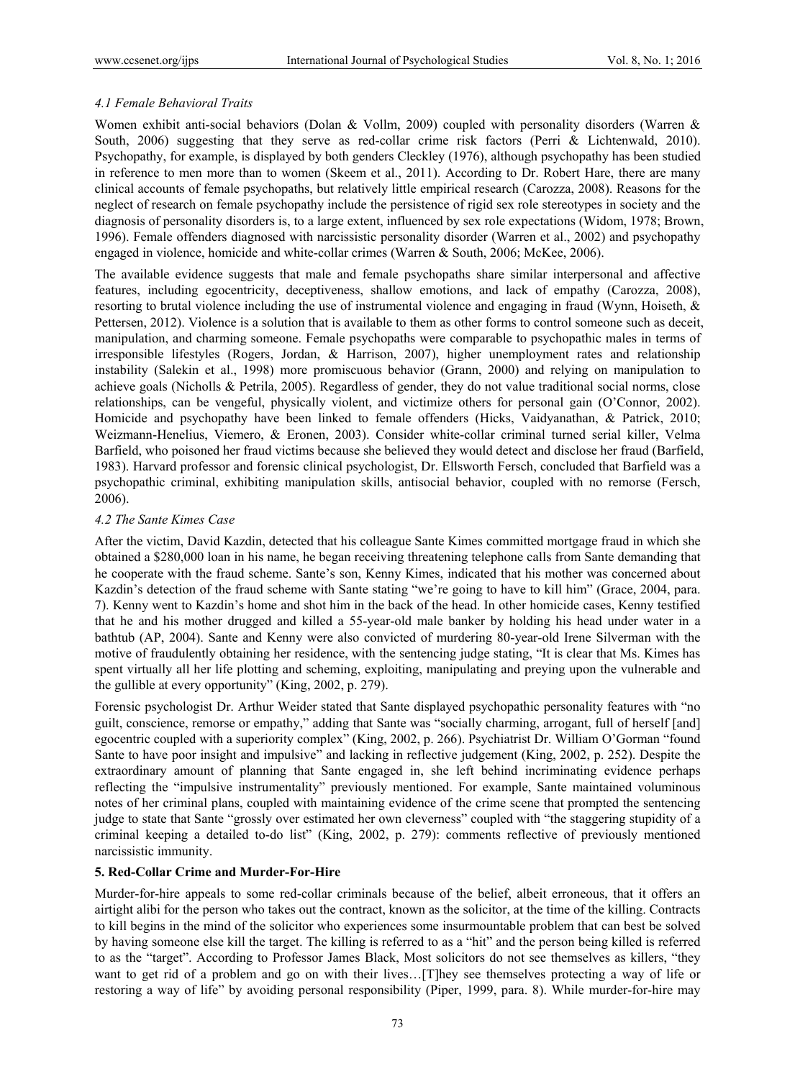### *4.1 Female Behavioral Traits*

Women exhibit anti-social behaviors (Dolan & Vollm, 2009) coupled with personality disorders (Warren & South, 2006) suggesting that they serve as red-collar crime risk factors (Perri & Lichtenwald, 2010). Psychopathy, for example, is displayed by both genders Cleckley (1976), although psychopathy has been studied in reference to men more than to women (Skeem et al., 2011). According to Dr. Robert Hare, there are many clinical accounts of female psychopaths, but relatively little empirical research (Carozza, 2008). Reasons for the neglect of research on female psychopathy include the persistence of rigid sex role stereotypes in society and the diagnosis of personality disorders is, to a large extent, influenced by sex role expectations (Widom, 1978; Brown, 1996). Female offenders diagnosed with narcissistic personality disorder (Warren et al., 2002) and psychopathy engaged in violence, homicide and white-collar crimes (Warren & South, 2006; McKee, 2006).

The available evidence suggests that male and female psychopaths share similar interpersonal and affective features, including egocentricity, deceptiveness, shallow emotions, and lack of empathy (Carozza, 2008), resorting to brutal violence including the use of instrumental violence and engaging in fraud (Wynn, Hoiseth, & Pettersen, 2012). Violence is a solution that is available to them as other forms to control someone such as deceit, manipulation, and charming someone. Female psychopaths were comparable to psychopathic males in terms of irresponsible lifestyles (Rogers, Jordan, & Harrison, 2007), higher unemployment rates and relationship instability (Salekin et al., 1998) more promiscuous behavior (Grann, 2000) and relying on manipulation to achieve goals (Nicholls & Petrila, 2005). Regardless of gender, they do not value traditional social norms, close relationships, can be vengeful, physically violent, and victimize others for personal gain (O'Connor, 2002). Homicide and psychopathy have been linked to female offenders (Hicks, Vaidyanathan, & Patrick, 2010; Weizmann-Henelius, Viemero, & Eronen, 2003). Consider white-collar criminal turned serial killer, Velma Barfield, who poisoned her fraud victims because she believed they would detect and disclose her fraud (Barfield, 1983). Harvard professor and forensic clinical psychologist, Dr. Ellsworth Fersch, concluded that Barfield was a psychopathic criminal, exhibiting manipulation skills, antisocial behavior, coupled with no remorse (Fersch, 2006).

### *4.2 The Sante Kimes Case*

After the victim, David Kazdin, detected that his colleague Sante Kimes committed mortgage fraud in which she obtained a \$280,000 loan in his name, he began receiving threatening telephone calls from Sante demanding that he cooperate with the fraud scheme. Sante's son, Kenny Kimes, indicated that his mother was concerned about Kazdin's detection of the fraud scheme with Sante stating "we're going to have to kill him" (Grace, 2004, para. 7). Kenny went to Kazdin's home and shot him in the back of the head. In other homicide cases, Kenny testified that he and his mother drugged and killed a 55-year-old male banker by holding his head under water in a bathtub (AP, 2004). Sante and Kenny were also convicted of murdering 80-year-old Irene Silverman with the motive of fraudulently obtaining her residence, with the sentencing judge stating, "It is clear that Ms. Kimes has spent virtually all her life plotting and scheming, exploiting, manipulating and preying upon the vulnerable and the gullible at every opportunity" (King, 2002, p. 279).

Forensic psychologist Dr. Arthur Weider stated that Sante displayed psychopathic personality features with "no guilt, conscience, remorse or empathy," adding that Sante was "socially charming, arrogant, full of herself [and] egocentric coupled with a superiority complex" (King, 2002, p. 266). Psychiatrist Dr. William O'Gorman "found Sante to have poor insight and impulsive" and lacking in reflective judgement (King, 2002, p. 252). Despite the extraordinary amount of planning that Sante engaged in, she left behind incriminating evidence perhaps reflecting the "impulsive instrumentality" previously mentioned. For example, Sante maintained voluminous notes of her criminal plans, coupled with maintaining evidence of the crime scene that prompted the sentencing judge to state that Sante "grossly over estimated her own cleverness" coupled with "the staggering stupidity of a criminal keeping a detailed to-do list" (King, 2002, p. 279): comments reflective of previously mentioned narcissistic immunity.

### **5. Red-Collar Crime and Murder-For-Hire**

Murder-for-hire appeals to some red-collar criminals because of the belief, albeit erroneous, that it offers an airtight alibi for the person who takes out the contract, known as the solicitor, at the time of the killing. Contracts to kill begins in the mind of the solicitor who experiences some insurmountable problem that can best be solved by having someone else kill the target. The killing is referred to as a "hit" and the person being killed is referred to as the "target". According to Professor James Black, Most solicitors do not see themselves as killers, "they want to get rid of a problem and go on with their lives…[T]hey see themselves protecting a way of life or restoring a way of life" by avoiding personal responsibility (Piper, 1999, para. 8). While murder-for-hire may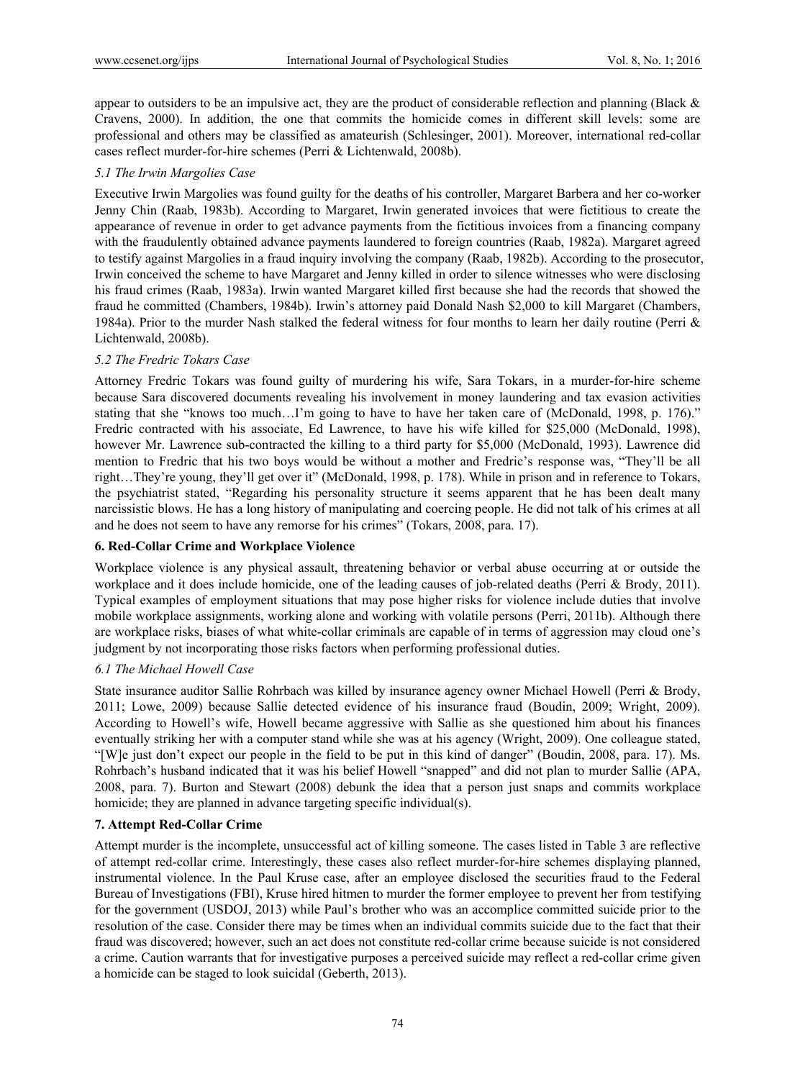appear to outsiders to be an impulsive act, they are the product of considerable reflection and planning (Black  $\&$ Cravens, 2000). In addition, the one that commits the homicide comes in different skill levels: some are professional and others may be classified as amateurish (Schlesinger, 2001). Moreover, international red-collar cases reflect murder-for-hire schemes (Perri & Lichtenwald, 2008b).

### *5.1 The Irwin Margolies Case*

Executive Irwin Margolies was found guilty for the deaths of his controller, Margaret Barbera and her co-worker Jenny Chin (Raab, 1983b). According to Margaret, Irwin generated invoices that were fictitious to create the appearance of revenue in order to get advance payments from the fictitious invoices from a financing company with the fraudulently obtained advance payments laundered to foreign countries (Raab, 1982a). Margaret agreed to testify against Margolies in a fraud inquiry involving the company (Raab, 1982b). According to the prosecutor, Irwin conceived the scheme to have Margaret and Jenny killed in order to silence witnesses who were disclosing his fraud crimes (Raab, 1983a). Irwin wanted Margaret killed first because she had the records that showed the fraud he committed (Chambers, 1984b). Irwin's attorney paid Donald Nash \$2,000 to kill Margaret (Chambers, 1984a). Prior to the murder Nash stalked the federal witness for four months to learn her daily routine (Perri & Lichtenwald, 2008b).

### *5.2 The Fredric Tokars Case*

Attorney Fredric Tokars was found guilty of murdering his wife, Sara Tokars, in a murder-for-hire scheme because Sara discovered documents revealing his involvement in money laundering and tax evasion activities stating that she "knows too much…I'm going to have to have her taken care of (McDonald, 1998, p. 176)." Fredric contracted with his associate, Ed Lawrence, to have his wife killed for \$25,000 (McDonald, 1998), however Mr. Lawrence sub-contracted the killing to a third party for \$5,000 (McDonald, 1993). Lawrence did mention to Fredric that his two boys would be without a mother and Fredric's response was, "They'll be all right…They're young, they'll get over it" (McDonald, 1998, p. 178). While in prison and in reference to Tokars, the psychiatrist stated, "Regarding his personality structure it seems apparent that he has been dealt many narcissistic blows. He has a long history of manipulating and coercing people. He did not talk of his crimes at all and he does not seem to have any remorse for his crimes" (Tokars, 2008, para. 17).

### **6. Red-Collar Crime and Workplace Violence**

Workplace violence is any physical assault, threatening behavior or verbal abuse occurring at or outside the workplace and it does include homicide, one of the leading causes of job-related deaths (Perri & Brody, 2011). Typical examples of employment situations that may pose higher risks for violence include duties that involve mobile workplace assignments, working alone and working with volatile persons (Perri, 2011b). Although there are workplace risks, biases of what white-collar criminals are capable of in terms of aggression may cloud one's judgment by not incorporating those risks factors when performing professional duties.

### *6.1 The Michael Howell Case*

State insurance auditor Sallie Rohrbach was killed by insurance agency owner Michael Howell (Perri & Brody, 2011; Lowe, 2009) because Sallie detected evidence of his insurance fraud (Boudin, 2009; Wright, 2009). According to Howell's wife, Howell became aggressive with Sallie as she questioned him about his finances eventually striking her with a computer stand while she was at his agency (Wright, 2009). One colleague stated, "[W]e just don't expect our people in the field to be put in this kind of danger" (Boudin, 2008, para. 17). Ms. Rohrbach's husband indicated that it was his belief Howell "snapped" and did not plan to murder Sallie (APA, 2008, para. 7). Burton and Stewart (2008) debunk the idea that a person just snaps and commits workplace homicide; they are planned in advance targeting specific individual(s).

### **7. Attempt Red-Collar Crime**

Attempt murder is the incomplete, unsuccessful act of killing someone. The cases listed in Table 3 are reflective of attempt red-collar crime. Interestingly, these cases also reflect murder-for-hire schemes displaying planned, instrumental violence. In the Paul Kruse case, after an employee disclosed the securities fraud to the Federal Bureau of Investigations (FBI), Kruse hired hitmen to murder the former employee to prevent her from testifying for the government (USDOJ, 2013) while Paul's brother who was an accomplice committed suicide prior to the resolution of the case. Consider there may be times when an individual commits suicide due to the fact that their fraud was discovered; however, such an act does not constitute red-collar crime because suicide is not considered a crime. Caution warrants that for investigative purposes a perceived suicide may reflect a red-collar crime given a homicide can be staged to look suicidal (Geberth, 2013).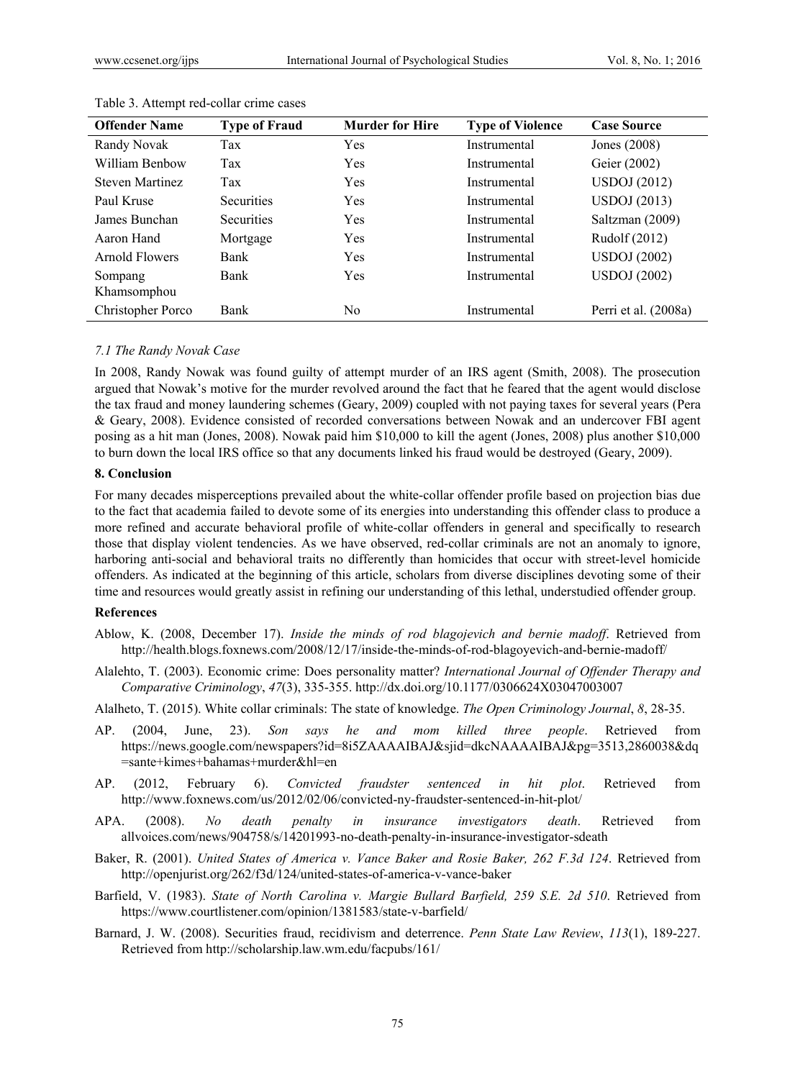| <b>Offender Name</b>   | <b>Type of Fraud</b> | <b>Murder for Hire</b> | <b>Type of Violence</b> | <b>Case Source</b>   |
|------------------------|----------------------|------------------------|-------------------------|----------------------|
| Randy Novak            | Tax                  | Yes                    | Instrumental            | Jones (2008)         |
| William Benbow         | Tax                  | Yes                    | <i>Instrumental</i>     | Geier (2002)         |
| <b>Steven Martinez</b> | Tax                  | Yes                    | Instrumental            | <b>USDOJ</b> (2012)  |
| Paul Kruse             | <b>Securities</b>    | Yes                    | Instrumental            | <b>USDOJ</b> (2013)  |
| James Bunchan          | <b>Securities</b>    | Yes                    | Instrumental            | Saltzman (2009)      |
| Aaron Hand             | Mortgage             | Yes                    | <i>Instrumental</i>     | Rudolf (2012)        |
| Arnold Flowers         | <b>Bank</b>          | Yes                    | <i>Instrumental</i>     | <b>USDOJ</b> (2002)  |
| Sompang                | <b>Bank</b>          | Yes                    | Instrumental            | <b>USDOJ</b> (2002)  |
| Khamsomphou            |                      |                        |                         |                      |
| Christopher Porco      | <b>Bank</b>          | No.                    | Instrumental            | Perri et al. (2008a) |

#### Table 3. Attempt red-collar crime cases

#### *7.1 The Randy Novak Case*

In 2008, Randy Nowak was found guilty of attempt murder of an IRS agent (Smith, 2008). The prosecution argued that Nowak's motive for the murder revolved around the fact that he feared that the agent would disclose the tax fraud and money laundering schemes (Geary, 2009) coupled with not paying taxes for several years (Pera & Geary, 2008). Evidence consisted of recorded conversations between Nowak and an undercover FBI agent posing as a hit man (Jones, 2008). Nowak paid him \$10,000 to kill the agent (Jones, 2008) plus another \$10,000 to burn down the local IRS office so that any documents linked his fraud would be destroyed (Geary, 2009).

### **8. Conclusion**

For many decades misperceptions prevailed about the white-collar offender profile based on projection bias due to the fact that academia failed to devote some of its energies into understanding this offender class to produce a more refined and accurate behavioral profile of white-collar offenders in general and specifically to research those that display violent tendencies. As we have observed, red-collar criminals are not an anomaly to ignore, harboring anti-social and behavioral traits no differently than homicides that occur with street-level homicide offenders. As indicated at the beginning of this article, scholars from diverse disciplines devoting some of their time and resources would greatly assist in refining our understanding of this lethal, understudied offender group.

### **References**

- Ablow, K. (2008, December 17). *Inside the minds of rod blagojevich and bernie madoff*. Retrieved from http://health.blogs.foxnews.com/2008/12/17/inside-the-minds-of-rod-blagoyevich-and-bernie-madoff/
- Alalehto, T. (2003). Economic crime: Does personality matter? *International Journal of Offender Therapy and Comparative Criminology*, *47*(3), 335-355. http://dx.doi.org/10.1177/0306624X03047003007
- Alalheto, T. (2015). White collar criminals: The state of knowledge. *The Open Criminology Journal*, *8*, 28-35.
- AP. (2004, June, 23). *Son says he and mom killed three people*. Retrieved from https://news.google.com/newspapers?id=8i5ZAAAAIBAJ&sjid=dkcNAAAAIBAJ&pg=3513,2860038&dq =sante+kimes+bahamas+murder&hl=en
- AP. (2012, February 6). *Convicted fraudster sentenced in hit plot*. Retrieved from http://www.foxnews.com/us/2012/02/06/convicted-ny-fraudster-sentenced-in-hit-plot/
- APA. (2008). *No death penalty in insurance investigators death*. Retrieved from allvoices.com/news/904758/s/14201993-no-death-penalty-in-insurance-investigator-sdeath
- Baker, R. (2001). *United States of America v. Vance Baker and Rosie Baker, 262 F.3d 124*. Retrieved from http://openjurist.org/262/f3d/124/united-states-of-america-v-vance-baker
- Barfield, V. (1983). *State of North Carolina v. Margie Bullard Barfield, 259 S.E. 2d 510*. Retrieved from https://www.courtlistener.com/opinion/1381583/state-v-barfield/
- Barnard, J. W. (2008). Securities fraud, recidivism and deterrence. *Penn State Law Review*, *113*(1), 189-227. Retrieved from http://scholarship.law.wm.edu/facpubs/161/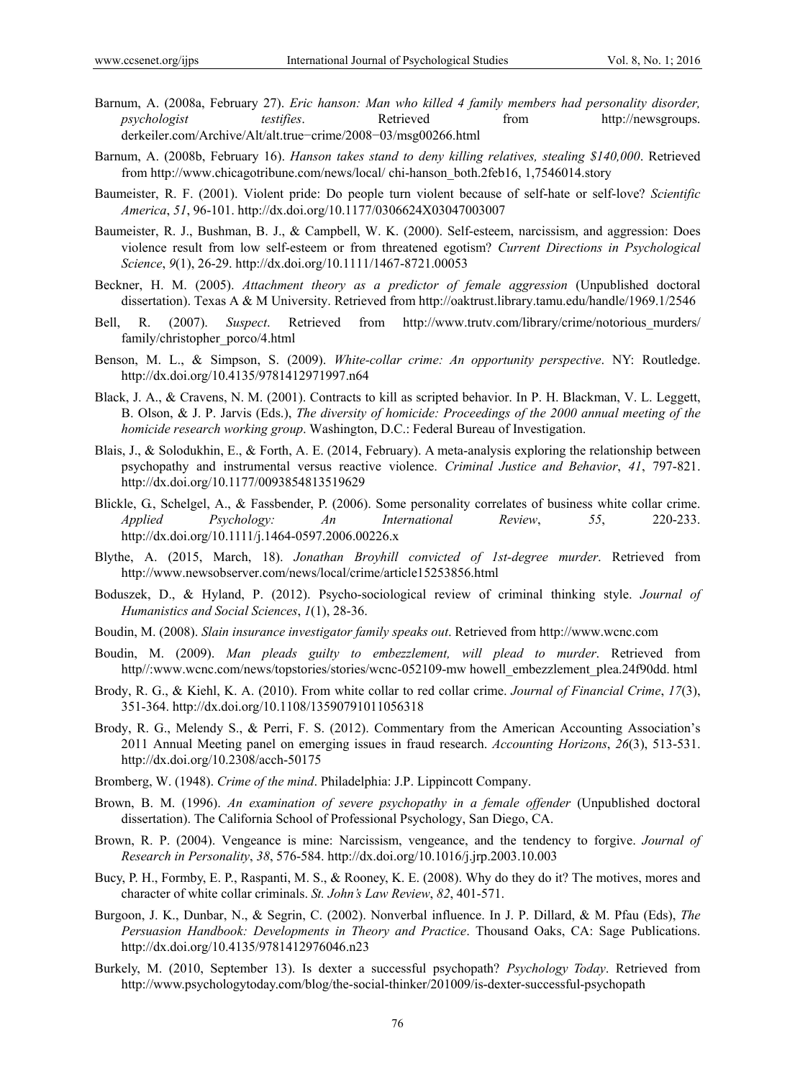- Barnum, A. (2008a, February 27). *Eric hanson: Man who killed 4 family members had personality disorder, psychologist testifies*. Retrieved from http://newsgroups. derkeiler.com/Archive/Alt/alt.true−crime/2008−03/msg00266.html
- Barnum, A. (2008b, February 16). *Hanson takes stand to deny killing relatives, stealing \$140,000*. Retrieved from http://www.chicagotribune.com/news/local/ chi-hanson\_both.2feb16, 1,7546014.story
- Baumeister, R. F. (2001). Violent pride: Do people turn violent because of self-hate or self-love? *Scientific America*, *51*, 96-101. http://dx.doi.org/10.1177/0306624X03047003007
- Baumeister, R. J., Bushman, B. J., & Campbell, W. K. (2000). Self-esteem, narcissism, and aggression: Does violence result from low self-esteem or from threatened egotism? *Current Directions in Psychological Science*, *9*(1), 26-29. http://dx.doi.org/10.1111/1467-8721.00053
- Beckner, H. M. (2005). *Attachment theory as a predictor of female aggression* (Unpublished doctoral dissertation). Texas A & M University. Retrieved from http://oaktrust.library.tamu.edu/handle/1969.1/2546
- Bell, R. (2007). *Suspect*. Retrieved from http://www.trutv.com/library/crime/notorious\_murders/ family/christopher\_porco/4.html
- Benson, M. L., & Simpson, S. (2009). *White-collar crime: An opportunity perspective*. NY: Routledge. http://dx.doi.org/10.4135/9781412971997.n64
- Black, J. A., & Cravens, N. M. (2001). Contracts to kill as scripted behavior. In P. H. Blackman, V. L. Leggett, B. Olson, & J. P. Jarvis (Eds.), *The diversity of homicide: Proceedings of the 2000 annual meeting of the homicide research working group*. Washington, D.C.: Federal Bureau of Investigation.
- Blais, J., & Solodukhin, E., & Forth, A. E. (2014, February). A meta-analysis exploring the relationship between psychopathy and instrumental versus reactive violence. *Criminal Justice and Behavior*, *41*, 797-821. http://dx.doi.org/10.1177/0093854813519629
- Blickle, G., Schelgel, A., & Fassbender, P. (2006). Some personality correlates of business white collar crime. *Applied Psychology: An International Review*, *55*, 220-233. http://dx.doi.org/10.1111/j.1464-0597.2006.00226.x
- Blythe, A. (2015, March, 18). *Jonathan Broyhill convicted of 1st-degree murder*. Retrieved from http://www.newsobserver.com/news/local/crime/article15253856.html
- Boduszek, D., & Hyland, P. (2012). Psycho-sociological review of criminal thinking style. *Journal of Humanistics and Social Sciences*, *1*(1), 28-36.
- Boudin, M. (2008). *Slain insurance investigator family speaks out*. Retrieved from http://www.wcnc.com
- Boudin, M. (2009). *Man pleads guilty to embezzlement, will plead to murder*. Retrieved from http//:www.wcnc.com/news/topstories/stories/wcnc-052109-mw howell\_embezzlement\_plea.24f90dd. html
- Brody, R. G., & Kiehl, K. A. (2010). From white collar to red collar crime. *Journal of Financial Crime*, *17*(3), 351-364. http://dx.doi.org/10.1108/13590791011056318
- Brody, R. G., Melendy S., & Perri, F. S. (2012). Commentary from the American Accounting Association's 2011 Annual Meeting panel on emerging issues in fraud research. *Accounting Horizons*, *26*(3), 513-531. http://dx.doi.org/10.2308/acch-50175
- Bromberg, W. (1948). *Crime of the mind*. Philadelphia: J.P. Lippincott Company.
- Brown, B. M. (1996). *An examination of severe psychopathy in a female offender* (Unpublished doctoral dissertation). The California School of Professional Psychology, San Diego, CA.
- Brown, R. P. (2004). Vengeance is mine: Narcissism, vengeance, and the tendency to forgive. *Journal of Research in Personality*, *38*, 576-584. http://dx.doi.org/10.1016/j.jrp.2003.10.003
- Bucy, P. H., Formby, E. P., Raspanti, M. S., & Rooney, K. E. (2008). Why do they do it? The motives, mores and character of white collar criminals. *St. John's Law Review*, *82*, 401-571.
- Burgoon, J. K., Dunbar, N., & Segrin, C. (2002). Nonverbal influence. In J. P. Dillard, & M. Pfau (Eds), *The Persuasion Handbook: Developments in Theory and Practice*. Thousand Oaks, CA: Sage Publications. http://dx.doi.org/10.4135/9781412976046.n23
- Burkely, M. (2010, September 13). Is dexter a successful psychopath? *Psychology Today*. Retrieved from http://www.psychologytoday.com/blog/the-social-thinker/201009/is-dexter-successful-psychopath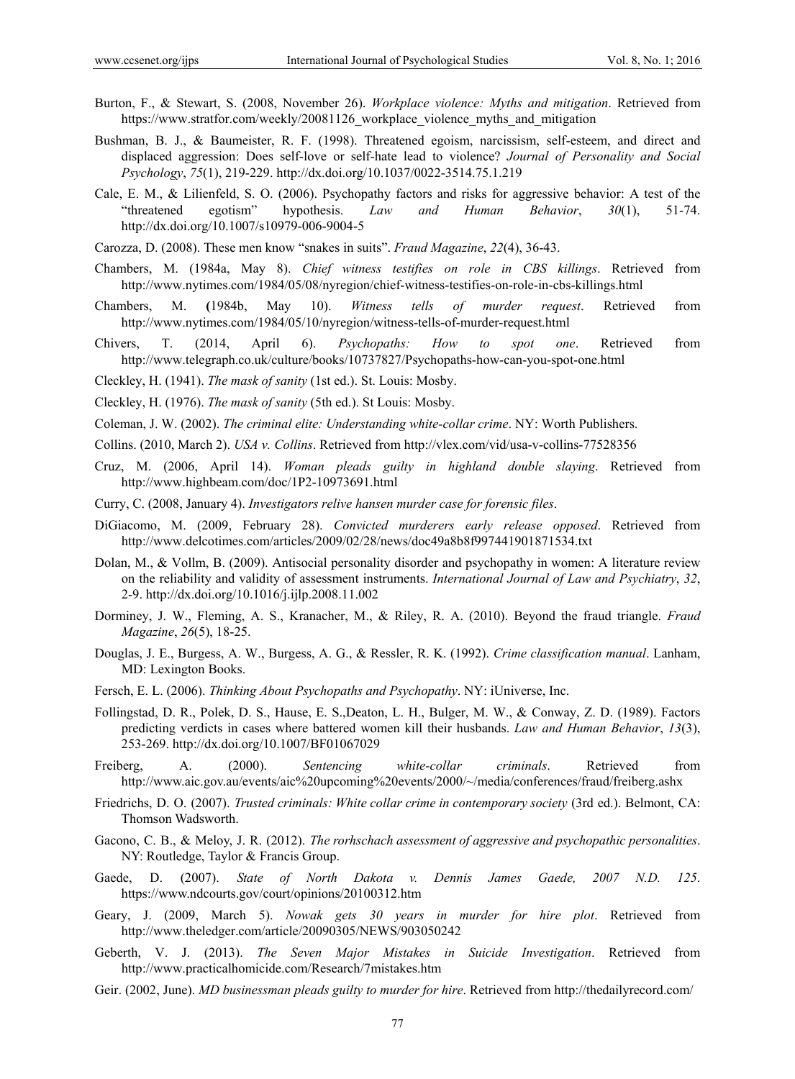- Burton, F., & Stewart, S. (2008, November 26). *Workplace violence: Myths and mitigation*. Retrieved from https://www.stratfor.com/weekly/20081126\_workplace\_violence\_myths\_and\_mitigation
- Bushman, B. J., & Baumeister, R. F. (1998). Threatened egoism, narcissism, self-esteem, and direct and displaced aggression: Does self-love or self-hate lead to violence? *Journal of Personality and Social Psychology*, *75*(1), 219-229. http://dx.doi.org/10.1037/0022-3514.75.1.219
- Cale, E. M., & Lilienfeld, S. O. (2006). Psychopathy factors and risks for aggressive behavior: A test of the "threatened egotism" hypothesis. *Law and Human Behavior*, *30*(1), 51-74. http://dx.doi.org/10.1007/s10979-006-9004-5
- Carozza, D. (2008). These men know "snakes in suits". *Fraud Magazine*, *22*(4), 36-43.
- Chambers, M. (1984a, May 8). *Chief witness testifies on role in CBS killings*. Retrieved from http://www.nytimes.com/1984/05/08/nyregion/chief-witness-testifies-on-role-in-cbs-killings.html
- Chambers, M. **(**1984b, May 10). *Witness tells of murder request*. Retrieved from http://www.nytimes.com/1984/05/10/nyregion/witness-tells-of-murder-request.html
- Chivers, T. (2014, April 6). *Psychopaths: How to spot one*. Retrieved from http://www.telegraph.co.uk/culture/books/10737827/Psychopaths-how-can-you-spot-one.html
- Cleckley, H. (1941). *The mask of sanity* (1st ed.). St. Louis: Mosby.
- Cleckley, H. (1976). *The mask of sanity* (5th ed.). St Louis: Mosby.
- Coleman, J. W. (2002). *The criminal elite: Understanding white-collar crime*. NY: Worth Publishers.
- Collins. (2010, March 2). *USA v. Collins*. Retrieved from http://vlex.com/vid/usa-v-collins-77528356
- Cruz, M. (2006, April 14). *Woman pleads guilty in highland double slaying*. Retrieved from http://www.highbeam.com/doc/1P2-10973691.html
- Curry, C. (2008, January 4). *Investigators relive hansen murder case for forensic files*.
- DiGiacomo, M. (2009, February 28). *Convicted murderers early release opposed*. Retrieved from http://www.delcotimes.com/articles/2009/02/28/news/doc49a8b8f997441901871534.txt
- Dolan, M., & Vollm, B. (2009). Antisocial personality disorder and psychopathy in women: A literature review on the reliability and validity of assessment instruments. *International Journal of Law and Psychiatry*, *32*, 2-9. http://dx.doi.org/10.1016/j.ijlp.2008.11.002
- Dorminey, J. W., Fleming, A. S., Kranacher, M., & Riley, R. A. (2010). Beyond the fraud triangle. *Fraud Magazine*, *26*(5), 18-25.
- Douglas, J. E., Burgess, A. W., Burgess, A. G., & Ressler, R. K. (1992). *Crime classification manual*. Lanham, MD: Lexington Books.
- Fersch, E. L. (2006). *Thinking About Psychopaths and Psychopathy*. NY: iUniverse, Inc.
- Follingstad, D. R., Polek, D. S., Hause, E. S.,Deaton, L. H., Bulger, M. W., & Conway, Z. D. (1989). Factors predicting verdicts in cases where battered women kill their husbands. *Law and Human Behavior*, *13*(3), 253-269. http://dx.doi.org/10.1007/BF01067029
- Freiberg, A. (2000). *Sentencing white-collar criminals*. Retrieved from http://www.aic.gov.au/events/aic%20upcoming%20events/2000/~/media/conferences/fraud/freiberg.ashx
- Friedrichs, D. O. (2007). *Trusted criminals: White collar crime in contemporary society* (3rd ed.). Belmont, CA: Thomson Wadsworth.
- Gacono, C. B., & Meloy, J. R. (2012). *The rorhschach assessment of aggressive and psychopathic personalities*. NY: Routledge, Taylor & Francis Group.
- Gaede, D. (2007). *State of North Dakota v. Dennis James Gaede, 2007 N.D. 125*. https://www.ndcourts.gov/court/opinions/20100312.htm
- Geary, J. (2009, March 5). *Nowak gets 30 years in murder for hire plot*. Retrieved from http://www.theledger.com/article/20090305/NEWS/903050242
- Geberth, V. J. (2013). *The Seven Major Mistakes in Suicide Investigation*. Retrieved from http://www.practicalhomicide.com/Research/7mistakes.htm
- Geir. (2002, June). *MD businessman pleads guilty to murder for hire*. Retrieved from http://thedailyrecord.com/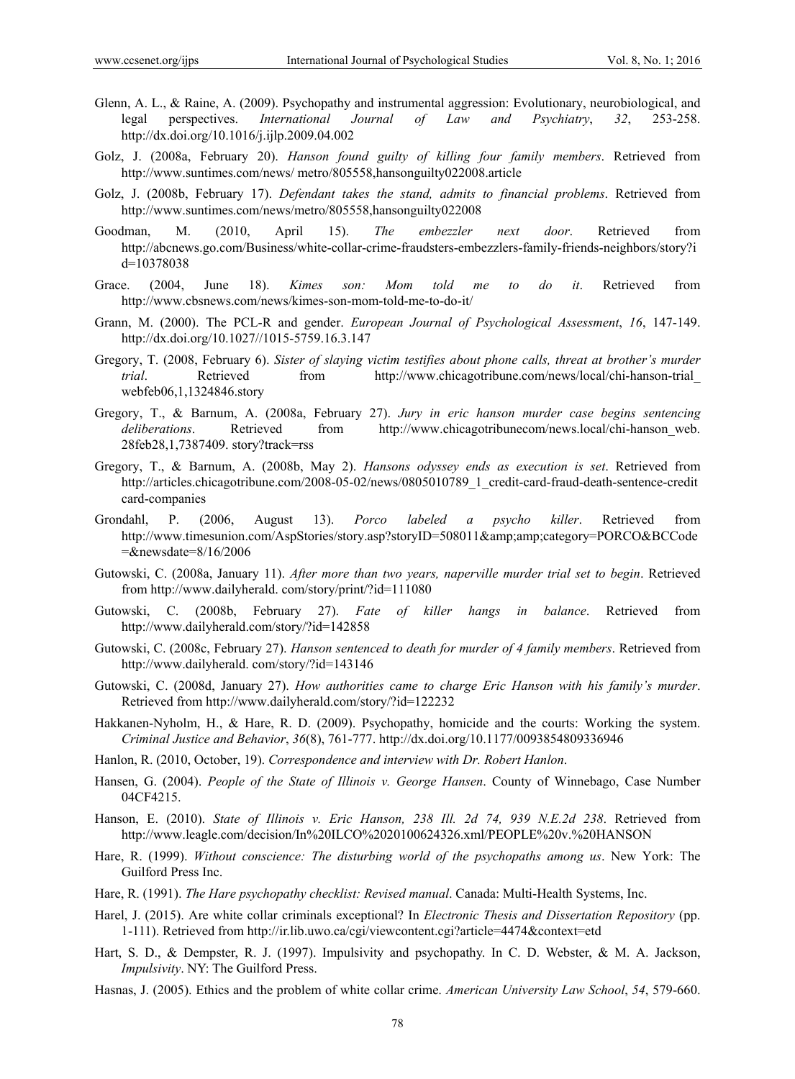- Glenn, A. L., & Raine, A. (2009). Psychopathy and instrumental aggression: Evolutionary, neurobiological, and legal perspectives. *International Journal of Law and Psychiatry*, *32*, 253-258. http://dx.doi.org/10.1016/j.ijlp.2009.04.002
- Golz, J. (2008a, February 20). *Hanson found guilty of killing four family members*. Retrieved from http://www.suntimes.com/news/ metro/805558,hansonguilty022008.article
- Golz, J. (2008b, February 17). *Defendant takes the stand, admits to financial problems*. Retrieved from http://www.suntimes.com/news/metro/805558,hansonguilty022008
- Goodman, M. (2010, April 15). *The embezzler next door*. Retrieved from http://abcnews.go.com/Business/white-collar-crime-fraudsters-embezzlers-family-friends-neighbors/story?i d=10378038
- Grace. (2004, June 18). *Kimes son: Mom told me to do it*. Retrieved from http://www.cbsnews.com/news/kimes-son-mom-told-me-to-do-it/
- Grann, M. (2000). The PCL-R and gender. *European Journal of Psychological Assessment*, *16*, 147-149. http://dx.doi.org/10.1027//1015-5759.16.3.147
- Gregory, T. (2008, February 6). *Sister of slaying victim testifies about phone calls, threat at brother's murder trial*. Retrieved from http://www.chicagotribune.com/news/local/chi-hanson-trial\_ webfeb06,1,1324846.story
- Gregory, T., & Barnum, A. (2008a, February 27). *Jury in eric hanson murder case begins sentencing*  deliberations. Retrieved from http://www.chicagotribunecom/news.local/chi-hanson web. 28feb28,1,7387409. story?track=rss
- Gregory, T., & Barnum, A. (2008b, May 2). *Hansons odyssey ends as execution is set*. Retrieved from http://articles.chicagotribune.com/2008-05-02/news/0805010789\_1\_credit-card-fraud-death-sentence-credit card-companies
- Grondahl, P. (2006, August 13). *Porco labeled a psycho killer*. Retrieved from http://www.timesunion.com/AspStories/story.asp?storyID=508011&category=PORCO&BCCode =&newsdate=8/16/2006
- Gutowski, C. (2008a, January 11). *After more than two years, naperville murder trial set to begin*. Retrieved from http://www.dailyherald. com/story/print/?id=111080
- Gutowski, C. (2008b, February 27). *Fate of killer hangs in balance*. Retrieved from http://www.dailyherald.com/story/?id=142858
- Gutowski, C. (2008c, February 27). *Hanson sentenced to death for murder of 4 family members*. Retrieved from http://www.dailyherald. com/story/?id=143146
- Gutowski, C. (2008d, January 27). *How authorities came to charge Eric Hanson with his family's murder*. Retrieved from http://www.dailyherald.com/story/?id=122232
- Hakkanen-Nyholm, H., & Hare, R. D. (2009). Psychopathy, homicide and the courts: Working the system. *Criminal Justice and Behavior*, *36*(8), 761-777. http://dx.doi.org/10.1177/0093854809336946
- Hanlon, R. (2010, October, 19). *Correspondence and interview with Dr. Robert Hanlon*.
- Hansen, G. (2004). *People of the State of Illinois v. George Hansen*. County of Winnebago, Case Number 04CF4215.
- Hanson, E. (2010). *State of Illinois v. Eric Hanson, 238 Ill. 2d 74, 939 N.E.2d 238*. Retrieved from http://www.leagle.com/decision/In%20ILCO%2020100624326.xml/PEOPLE%20v.%20HANSON
- Hare, R. (1999). *Without conscience: The disturbing world of the psychopaths among us*. New York: The Guilford Press Inc.
- Hare, R. (1991). *The Hare psychopathy checklist: Revised manual*. Canada: Multi-Health Systems, Inc.
- Harel, J. (2015). Are white collar criminals exceptional? In *Electronic Thesis and Dissertation Repository* (pp. 1-111). Retrieved from http://ir.lib.uwo.ca/cgi/viewcontent.cgi?article=4474&context=etd
- Hart, S. D., & Dempster, R. J. (1997). Impulsivity and psychopathy. In C. D. Webster, & M. A. Jackson, *Impulsivity*. NY: The Guilford Press.
- Hasnas, J. (2005). Ethics and the problem of white collar crime. *American University Law School*, *54*, 579-660.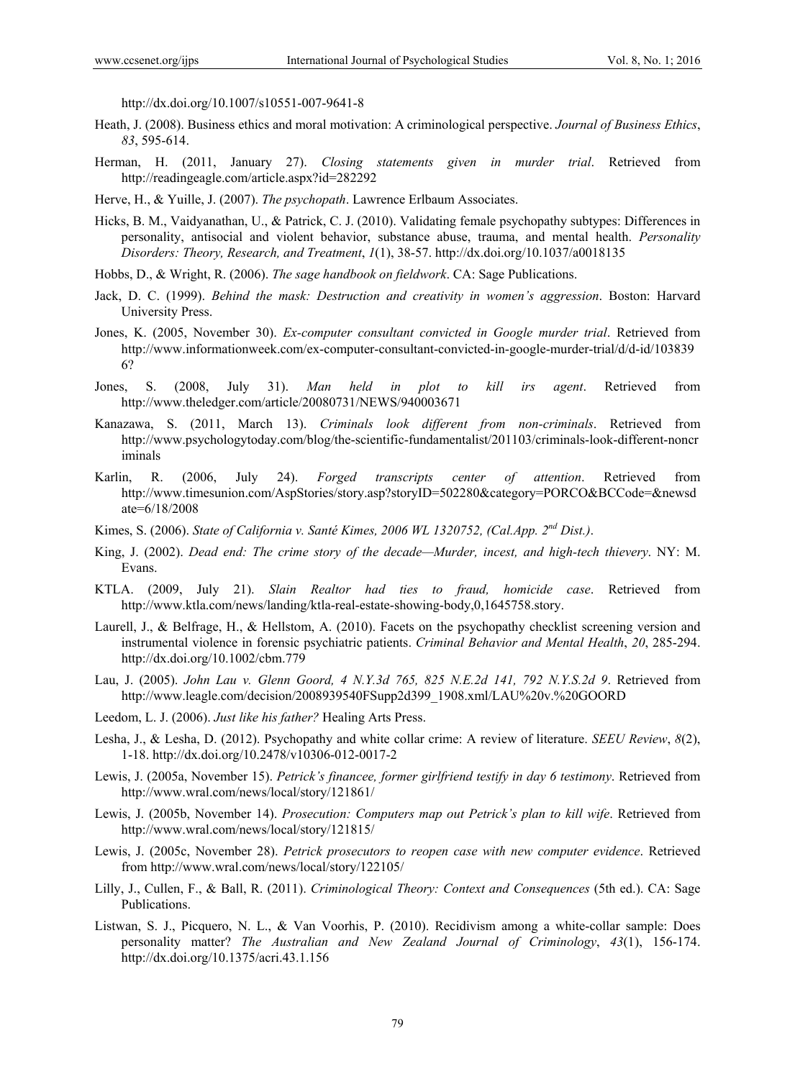http://dx.doi.org/10.1007/s10551-007-9641-8

- Heath, J. (2008). Business ethics and moral motivation: A criminological perspective. *Journal of Business Ethics*, *83*, 595-614.
- Herman, H. (2011, January 27). *Closing statements given in murder trial*. Retrieved from http://readingeagle.com/article.aspx?id=282292
- Herve, H., & Yuille, J. (2007). *The psychopath*. Lawrence Erlbaum Associates.
- Hicks, B. M., Vaidyanathan, U., & Patrick, C. J. (2010). Validating female psychopathy subtypes: Differences in personality, antisocial and violent behavior, substance abuse, trauma, and mental health. *Personality Disorders: Theory, Research, and Treatment*, *1*(1), 38-57. http://dx.doi.org/10.1037/a0018135
- Hobbs, D., & Wright, R. (2006). *The sage handbook on fieldwork*. CA: Sage Publications.
- Jack, D. C. (1999). *Behind the mask: Destruction and creativity in women's aggression*. Boston: Harvard University Press.
- Jones, K. (2005, November 30). *Ex-computer consultant convicted in Google murder trial*. Retrieved from http://www.informationweek.com/ex-computer-consultant-convicted-in-google-murder-trial/d/d-id/103839 6?
- Jones, S. (2008, July 31). *Man held in plot to kill irs agent*. Retrieved from http://www.theledger.com/article/20080731/NEWS/940003671
- Kanazawa, S. (2011, March 13). *Criminals look different from non-criminals*. Retrieved from http://www.psychologytoday.com/blog/the-scientific-fundamentalist/201103/criminals-look-different-noncr iminals
- Karlin, R. (2006, July 24). *Forged transcripts center of attention*. Retrieved from http://www.timesunion.com/AspStories/story.asp?storyID=502280&category=PORCO&BCCode=&newsd ate=6/18/2008
- Kimes, S. (2006). *State of California v. Santé Kimes, 2006 WL 1320752, (Cal.App. 2nd Dist.)*.
- King, J. (2002). *Dead end: The crime story of the decade—Murder, incest, and high-tech thievery*. NY: M. Evans.
- KTLA. (2009, July 21). *Slain Realtor had ties to fraud, homicide case*. Retrieved from http://www.ktla.com/news/landing/ktla-real-estate-showing-body,0,1645758.story.
- Laurell, J., & Belfrage, H., & Hellstom, A. (2010). Facets on the psychopathy checklist screening version and instrumental violence in forensic psychiatric patients. *Criminal Behavior and Mental Health*, *20*, 285-294. http://dx.doi.org/10.1002/cbm.779
- Lau, J. (2005). *John Lau v. Glenn Goord, 4 N.Y.3d 765, 825 N.E.2d 141, 792 N.Y.S.2d 9*. Retrieved from http://www.leagle.com/decision/2008939540FSupp2d399\_1908.xml/LAU%20v.%20GOORD
- Leedom, L. J. (2006). *Just like his father?* Healing Arts Press.
- Lesha, J., & Lesha, D. (2012). Psychopathy and white collar crime: A review of literature. *SEEU Review*, *8*(2), 1-18. http://dx.doi.org/10.2478/v10306-012-0017-2
- Lewis, J. (2005a, November 15). *Petrick's financee, former girlfriend testify in day 6 testimony*. Retrieved from http://www.wral.com/news/local/story/121861/
- Lewis, J. (2005b, November 14). *Prosecution: Computers map out Petrick's plan to kill wife*. Retrieved from http://www.wral.com/news/local/story/121815/
- Lewis, J. (2005c, November 28). *Petrick prosecutors to reopen case with new computer evidence*. Retrieved from http://www.wral.com/news/local/story/122105/
- Lilly, J., Cullen, F., & Ball, R. (2011). *Criminological Theory: Context and Consequences* (5th ed.). CA: Sage Publications.
- Listwan, S. J., Picquero, N. L., & Van Voorhis, P. (2010). Recidivism among a white-collar sample: Does personality matter? *The Australian and New Zealand Journal of Criminology*, *43*(1), 156-174. http://dx.doi.org/10.1375/acri.43.1.156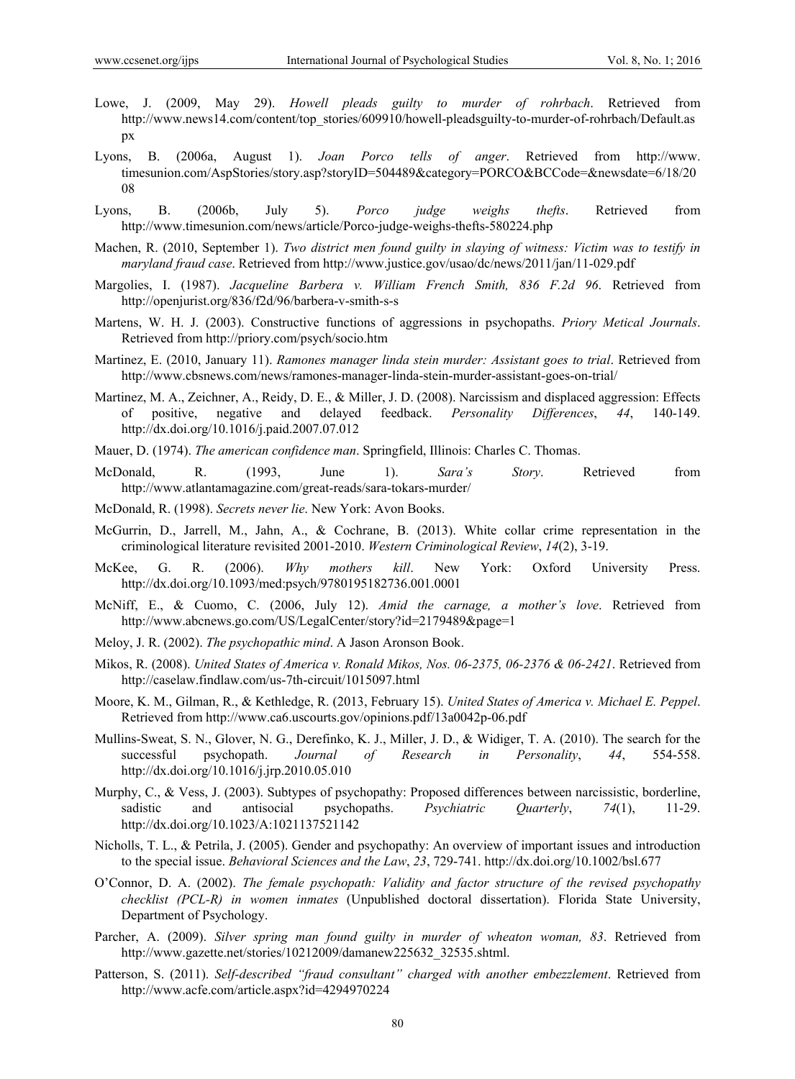- Lowe, J. (2009, May 29). *Howell pleads guilty to murder of rohrbach*. Retrieved from http://www.news14.com/content/top\_stories/609910/howell-pleadsguilty-to-murder-of-rohrbach/Default.as px
- Lyons, B. (2006a, August 1). *Joan Porco tells of anger*. Retrieved from http://www. timesunion.com/AspStories/story.asp?storyID=504489&category=PORCO&BCCode=&newsdate=6/18/20 08
- Lyons, B. (2006b, July 5). *Porco judge weighs thefts*. Retrieved from http://www.timesunion.com/news/article/Porco-judge-weighs-thefts-580224.php
- Machen, R. (2010, September 1). *Two district men found guilty in slaying of witness: Victim was to testify in maryland fraud case*. Retrieved from http://www.justice.gov/usao/dc/news/2011/jan/11-029.pdf
- Margolies, I. (1987). *Jacqueline Barbera v. William French Smith, 836 F.2d 96*. Retrieved from http://openjurist.org/836/f2d/96/barbera-v-smith-s-s
- Martens, W. H. J. (2003). Constructive functions of aggressions in psychopaths. *Priory Metical Journals*. Retrieved from http://priory.com/psych/socio.htm
- Martinez, E. (2010, January 11). *Ramones manager linda stein murder: Assistant goes to trial*. Retrieved from http://www.cbsnews.com/news/ramones-manager-linda-stein-murder-assistant-goes-on-trial/
- Martinez, M. A., Zeichner, A., Reidy, D. E., & Miller, J. D. (2008). Narcissism and displaced aggression: Effects of positive, negative and delayed feedback. *Personality Differences*, *44*, 140-149. http://dx.doi.org/10.1016/j.paid.2007.07.012
- Mauer, D. (1974). *The american confidence man*. Springfield, Illinois: Charles C. Thomas.
- McDonald, R. (1993, June 1). *Sara's Story*. Retrieved from http://www.atlantamagazine.com/great-reads/sara-tokars-murder/
- McDonald, R. (1998). *Secrets never lie*. New York: Avon Books.
- McGurrin, D., Jarrell, M., Jahn, A., & Cochrane, B. (2013). White collar crime representation in the criminological literature revisited 2001-2010. *Western Criminological Review*, *14*(2), 3-19.
- McKee, G. R. (2006). *Why mothers kill*. New York: Oxford University Press. http://dx.doi.org/10.1093/med:psych/9780195182736.001.0001
- McNiff, E., & Cuomo, C. (2006, July 12). *Amid the carnage, a mother's love*. Retrieved from http://www.abcnews.go.com/US/LegalCenter/story?id=2179489&page=1
- Meloy, J. R. (2002). *The psychopathic mind*. A Jason Aronson Book.
- Mikos, R. (2008). *United States of America v. Ronald Mikos, Nos. 06-2375, 06-2376 & 06-2421*. Retrieved from http://caselaw.findlaw.com/us-7th-circuit/1015097.html
- Moore, K. M., Gilman, R., & Kethledge, R. (2013, February 15). *United States of America v. Michael E. Peppel*. Retrieved from http://www.ca6.uscourts.gov/opinions.pdf/13a0042p-06.pdf
- Mullins-Sweat, S. N., Glover, N. G., Derefinko, K. J., Miller, J. D., & Widiger, T. A. (2010). The search for the successful psychopath. *Journal of Research in Personality*, *44*, 554-558. http://dx.doi.org/10.1016/j.jrp.2010.05.010
- Murphy, C., & Vess, J. (2003). Subtypes of psychopathy: Proposed differences between narcissistic, borderline, sadistic and antisocial psychopaths. *Psychiatric Quarterly*, *74*(1), 11-29. http://dx.doi.org/10.1023/A:1021137521142
- Nicholls, T. L., & Petrila, J. (2005). Gender and psychopathy: An overview of important issues and introduction to the special issue. *Behavioral Sciences and the Law*, *23*, 729-741. http://dx.doi.org/10.1002/bsl.677
- O'Connor, D. A. (2002). *The female psychopath: Validity and factor structure of the revised psychopathy checklist (PCL-R) in women inmates* (Unpublished doctoral dissertation). Florida State University, Department of Psychology.
- Parcher, A. (2009). *Silver spring man found guilty in murder of wheaton woman, 83*. Retrieved from http://www.gazette.net/stories/10212009/damanew225632\_32535.shtml.
- Patterson, S. (2011). *Self-described "fraud consultant" charged with another embezzlement*. Retrieved from http://www.acfe.com/article.aspx?id=4294970224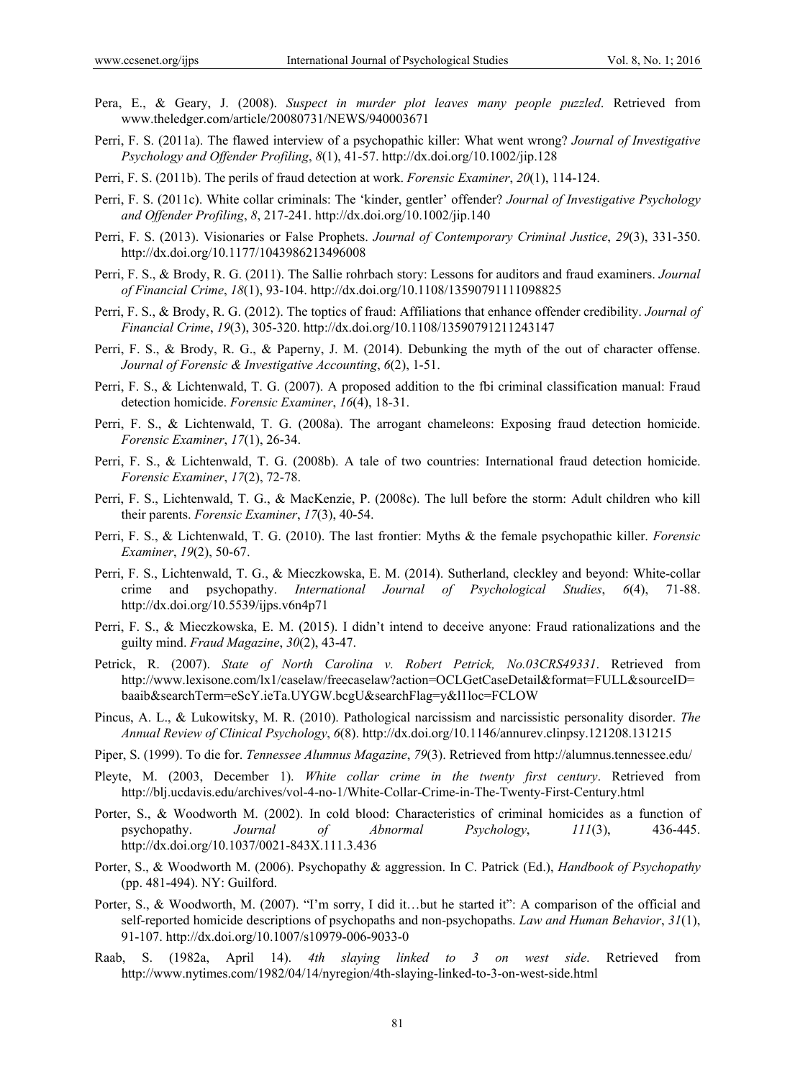- Pera, E., & Geary, J. (2008). *Suspect in murder plot leaves many people puzzled*. Retrieved from www.theledger.com/article/20080731/NEWS/940003671
- Perri, F. S. (2011a). The flawed interview of a psychopathic killer: What went wrong? *Journal of Investigative Psychology and Offender Profiling*, *8*(1), 41-57. http://dx.doi.org/10.1002/jip.128
- Perri, F. S. (2011b). The perils of fraud detection at work. *Forensic Examiner*, *20*(1), 114-124.
- Perri, F. S. (2011c). White collar criminals: The 'kinder, gentler' offender? *Journal of Investigative Psychology and Offender Profiling*, *8*, 217-241. http://dx.doi.org/10.1002/jip.140
- Perri, F. S. (2013). Visionaries or False Prophets. *Journal of Contemporary Criminal Justice*, *29*(3), 331-350. http://dx.doi.org/10.1177/1043986213496008
- Perri, F. S., & Brody, R. G. (2011). The Sallie rohrbach story: Lessons for auditors and fraud examiners. *Journal of Financial Crime*, *18*(1), 93-104. http://dx.doi.org/10.1108/13590791111098825
- Perri, F. S., & Brody, R. G. (2012). The toptics of fraud: Affiliations that enhance offender credibility. *Journal of Financial Crime*, *19*(3), 305-320. http://dx.doi.org/10.1108/13590791211243147
- Perri, F. S., & Brody, R. G., & Paperny, J. M. (2014). Debunking the myth of the out of character offense. *Journal of Forensic & Investigative Accounting*, *6*(2), 1-51.
- Perri, F. S., & Lichtenwald, T. G. (2007). A proposed addition to the fbi criminal classification manual: Fraud detection homicide. *Forensic Examiner*, *16*(4), 18-31.
- Perri, F. S., & Lichtenwald, T. G. (2008a). The arrogant chameleons: Exposing fraud detection homicide. *Forensic Examiner*, *17*(1), 26-34.
- Perri, F. S., & Lichtenwald, T. G. (2008b). A tale of two countries: International fraud detection homicide. *Forensic Examiner*, *17*(2), 72-78.
- Perri, F. S., Lichtenwald, T. G., & MacKenzie, P. (2008c). The lull before the storm: Adult children who kill their parents. *Forensic Examiner*, *17*(3), 40-54.
- Perri, F. S., & Lichtenwald, T. G. (2010). The last frontier: Myths & the female psychopathic killer. *Forensic Examiner*, *19*(2), 50-67.
- Perri, F. S., Lichtenwald, T. G., & Mieczkowska, E. M. (2014). Sutherland, cleckley and beyond: White-collar crime and psychopathy. *International Journal of Psychological Studies*, *6*(4), 71-88. http://dx.doi.org/10.5539/ijps.v6n4p71
- Perri, F. S., & Mieczkowska, E. M. (2015). I didn't intend to deceive anyone: Fraud rationalizations and the guilty mind. *Fraud Magazine*, *30*(2), 43-47.
- Petrick, R. (2007). *State of North Carolina v. Robert Petrick, No.03CRS49331*. Retrieved from http://www.lexisone.com/lx1/caselaw/freecaselaw?action=OCLGetCaseDetail&format=FULL&sourceID= baaib&searchTerm=eScY.ieTa.UYGW.bcgU&searchFlag=y&l1loc=FCLOW
- Pincus, A. L., & Lukowitsky, M. R. (2010). Pathological narcissism and narcissistic personality disorder. *The Annual Review of Clinical Psychology*, *6*(8). http://dx.doi.org/10.1146/annurev.clinpsy.121208.131215
- Piper, S. (1999). To die for. *Tennessee Alumnus Magazine*, *79*(3). Retrieved from http://alumnus.tennessee.edu/
- Pleyte, M. (2003, December 1). *White collar crime in the twenty first century*. Retrieved from http://blj.ucdavis.edu/archives/vol-4-no-1/White-Collar-Crime-in-The-Twenty-First-Century.html
- Porter, S., & Woodworth M. (2002). In cold blood: Characteristics of criminal homicides as a function of psychopathy. *Journal of Abnormal Psychology*, *111*(3), 436-445. http://dx.doi.org/10.1037/0021-843X.111.3.436
- Porter, S., & Woodworth M. (2006). Psychopathy & aggression. In C. Patrick (Ed.), *Handbook of Psychopathy*  (pp. 481-494). NY: Guilford.
- Porter, S., & Woodworth, M. (2007). "I'm sorry, I did it…but he started it": A comparison of the official and self-reported homicide descriptions of psychopaths and non-psychopaths. *Law and Human Behavior*, *31*(1), 91-107. http://dx.doi.org/10.1007/s10979-006-9033-0
- Raab, S. (1982a, April 14). *4th slaying linked to 3 on west side*. Retrieved from http://www.nytimes.com/1982/04/14/nyregion/4th-slaying-linked-to-3-on-west-side.html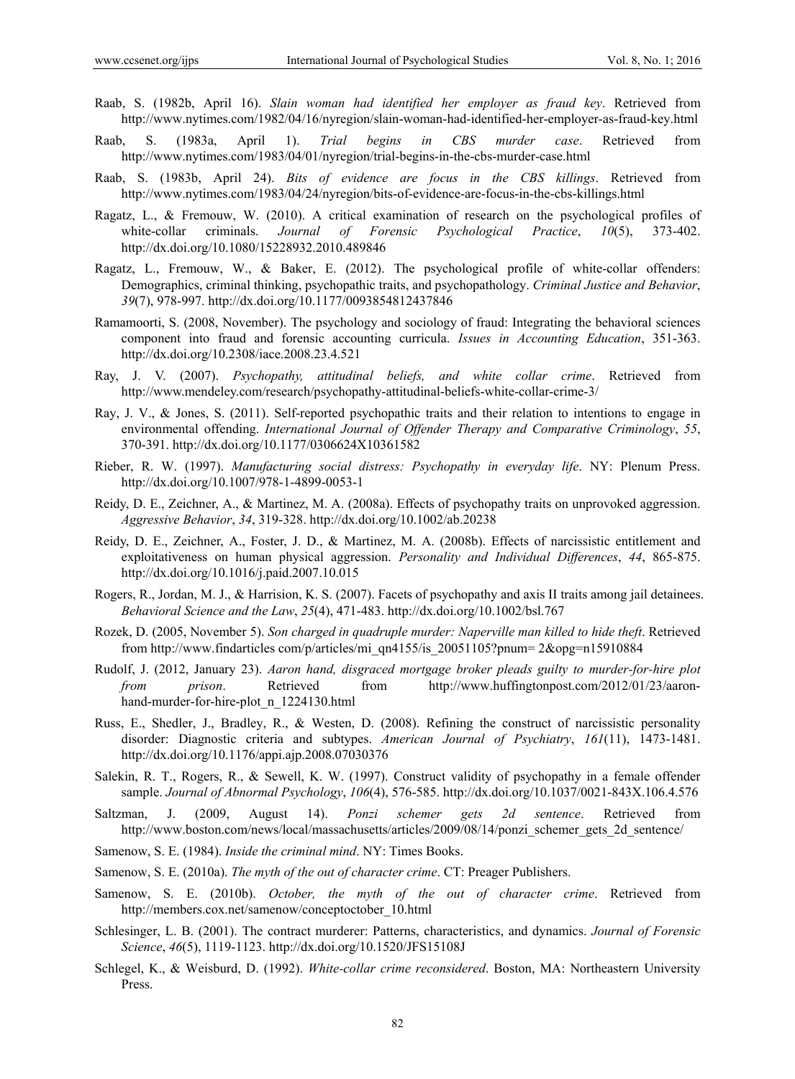- Raab, S. (1982b, April 16). *Slain woman had identified her employer as fraud key*. Retrieved from http://www.nytimes.com/1982/04/16/nyregion/slain-woman-had-identified-her-employer-as-fraud-key.html
- Raab, S. (1983a, April 1). *Trial begins in CBS murder case*. Retrieved from http://www.nytimes.com/1983/04/01/nyregion/trial-begins-in-the-cbs-murder-case.html
- Raab, S. (1983b, April 24). *Bits of evidence are focus in the CBS killings*. Retrieved from http://www.nytimes.com/1983/04/24/nyregion/bits-of-evidence-are-focus-in-the-cbs-killings.html
- Ragatz, L., & Fremouw, W. (2010). A critical examination of research on the psychological profiles of white-collar criminals. *Journal of Forensic Psychological Practice*, *10*(5), 373-402. http://dx.doi.org/10.1080/15228932.2010.489846
- Ragatz, L., Fremouw, W., & Baker, E. (2012). The psychological profile of white-collar offenders: Demographics, criminal thinking, psychopathic traits, and psychopathology. *Criminal Justice and Behavior*, *39*(7), 978-997. http://dx.doi.org/10.1177/0093854812437846
- Ramamoorti, S. (2008, November). The psychology and sociology of fraud: Integrating the behavioral sciences component into fraud and forensic accounting curricula. *Issues in Accounting Education*, 351-363. http://dx.doi.org/10.2308/iace.2008.23.4.521
- Ray, J. V. (2007). *Psychopathy, attitudinal beliefs, and white collar crime*. Retrieved from http://www.mendeley.com/research/psychopathy-attitudinal-beliefs-white-collar-crime-3/
- Ray, J. V., & Jones, S. (2011). Self-reported psychopathic traits and their relation to intentions to engage in environmental offending. *International Journal of Offender Therapy and Comparative Criminology*, *55*, 370-391. http://dx.doi.org/10.1177/0306624X10361582
- Rieber, R. W. (1997). *Manufacturing social distress: Psychopathy in everyday life*. NY: Plenum Press. http://dx.doi.org/10.1007/978-1-4899-0053-1
- Reidy, D. E., Zeichner, A., & Martinez, M. A. (2008a). Effects of psychopathy traits on unprovoked aggression. *Aggressive Behavior*, *34*, 319-328. http://dx.doi.org/10.1002/ab.20238
- Reidy, D. E., Zeichner, A., Foster, J. D., & Martinez, M. A. (2008b). Effects of narcissistic entitlement and exploitativeness on human physical aggression. *Personality and Individual Differences*, *44*, 865-875. http://dx.doi.org/10.1016/j.paid.2007.10.015
- Rogers, R., Jordan, M. J., & Harrision, K. S. (2007). Facets of psychopathy and axis II traits among jail detainees. *Behavioral Science and the Law*, *25*(4), 471-483. http://dx.doi.org/10.1002/bsl.767
- Rozek, D. (2005, November 5). *Son charged in quadruple murder: Naperville man killed to hide theft*. Retrieved from http://www.findarticles com/p/articles/mi\_qn4155/is\_20051105?pnum= 2&opg=n15910884
- Rudolf, J. (2012, January 23). *Aaron hand, disgraced mortgage broker pleads guilty to murder-for-hire plot from prison.* Retrieved from http://www.huffingtonpost.com/2012/01/23/aaronhand-murder-for-hire-plot\_n\_1224130.html
- Russ, E., Shedler, J., Bradley, R., & Westen, D. (2008). Refining the construct of narcissistic personality disorder: Diagnostic criteria and subtypes. *American Journal of Psychiatry*, *161*(11), 1473-1481. http://dx.doi.org/10.1176/appi.ajp.2008.07030376
- Salekin, R. T., Rogers, R., & Sewell, K. W. (1997). Construct validity of psychopathy in a female offender sample. *Journal of Abnormal Psychology*, *106*(4), 576-585. http://dx.doi.org/10.1037/0021-843X.106.4.576
- Saltzman, J. (2009, August 14). *Ponzi schemer gets 2d sentence*. Retrieved from http://www.boston.com/news/local/massachusetts/articles/2009/08/14/ponzi\_schemer\_gets\_2d\_sentence/
- Samenow, S. E. (1984). *Inside the criminal mind*. NY: Times Books.
- Samenow, S. E. (2010a). *The myth of the out of character crime*. CT: Preager Publishers.
- Samenow, S. E. (2010b). *October, the myth of the out of character crime*. Retrieved from http://members.cox.net/samenow/conceptoctober\_10.html
- Schlesinger, L. B. (2001). The contract murderer: Patterns, characteristics, and dynamics. *Journal of Forensic Science*, *46*(5), 1119-1123. http://dx.doi.org/10.1520/JFS15108J
- Schlegel, K., & Weisburd, D. (1992). *White-collar crime reconsidered*. Boston, MA: Northeastern University Press.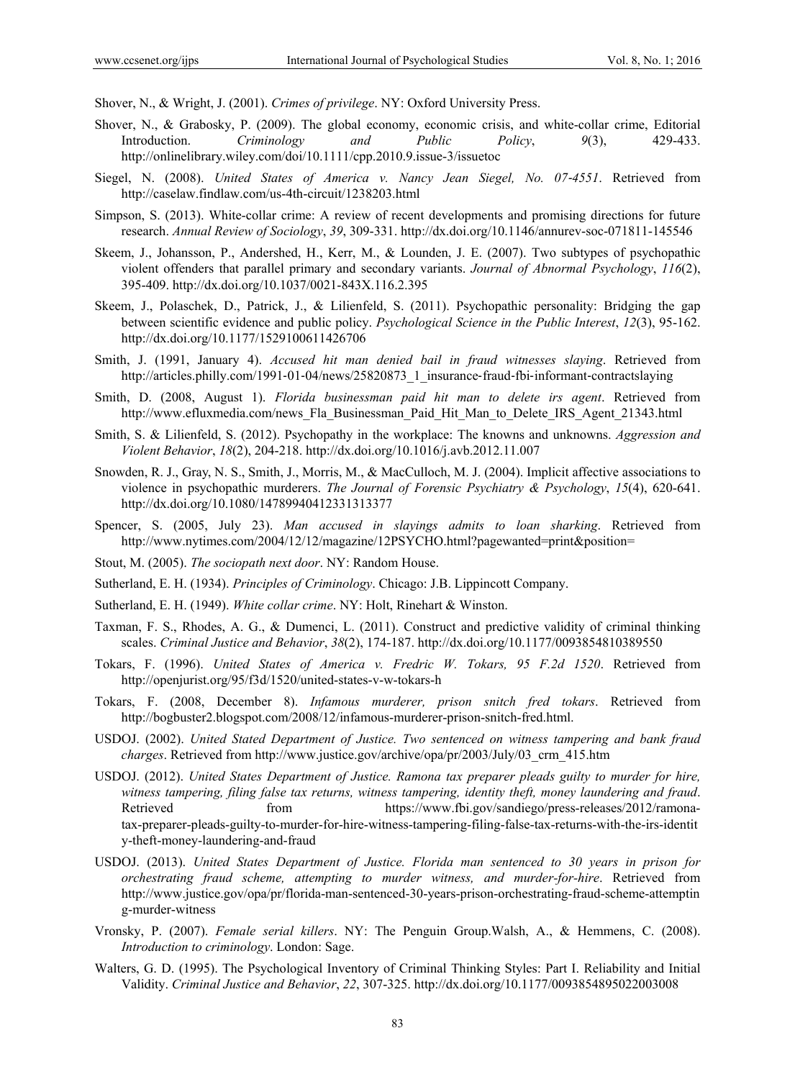Shover, N., & Wright, J. (2001). *Crimes of privilege*. NY: Oxford University Press.

- Shover, N., & Grabosky, P. (2009). The global economy, economic crisis, and white-collar crime, Editorial Introduction. *Criminology and Public Policy*, *9*(3), 429-433. http://onlinelibrary.wiley.com/doi/10.1111/cpp.2010.9.issue-3/issuetoc
- Siegel, N. (2008). *United States of America v. Nancy Jean Siegel, No. 07*-4551. Retrieved from http://caselaw.findlaw.com/us-4th-circuit/1238203.html
- Simpson, S. (2013). White-collar crime: A review of recent developments and promising directions for future research. *Annual Review of Sociology*, *39*, 309-331. http://dx.doi.org/10.1146/annurev-soc-071811-145546
- Skeem, J., Johansson, P., Andershed, H., Kerr, M., & Lounden, J. E. (2007). Two subtypes of psychopathic violent offenders that parallel primary and secondary variants. *Journal of Abnormal Psychology*, *116*(2), 395-409. http://dx.doi.org/10.1037/0021-843X.116.2.395
- Skeem, J., Polaschek, D., Patrick, J., & Lilienfeld, S. (2011). Psychopathic personality: Bridging the gap between scientific evidence and public policy. *Psychological Science in the Public Interest*, *12*(3), 95-162. http://dx.doi.org/10.1177/1529100611426706
- Smith, J. (1991, January 4). *Accused hit man denied bail in fraud witnesses slaying*. Retrieved from http://articles.philly.com/1991‐01‐04/news/25820873\_1\_insurance‐fraud‐fbi‐informant‐contractslaying
- Smith, D. (2008, August 1). *Florida businessman paid hit man to delete irs agent*. Retrieved from http://www.efluxmedia.com/news\_Fla\_Businessman\_Paid\_Hit\_Man\_to\_Delete\_IRS\_Agent\_21343.html
- Smith, S. & Lilienfeld, S. (2012). Psychopathy in the workplace: The knowns and unknowns. *Aggression and Violent Behavior*, *18*(2), 204-218. http://dx.doi.org/10.1016/j.avb.2012.11.007
- Snowden, R. J., Gray, N. S., Smith, J., Morris, M., & MacCulloch, M. J. (2004). Implicit affective associations to violence in psychopathic murderers. *The Journal of Forensic Psychiatry & Psychology*, *15*(4), 620-641. http://dx.doi.org/10.1080/14789940412331313377
- Spencer, S. (2005, July 23). *Man accused in slayings admits to loan sharking*. Retrieved from http://www.nytimes.com/2004/12/12/magazine/12PSYCHO.html?pagewanted=print&position=
- Stout, M. (2005). *The sociopath next door*. NY: Random House.
- Sutherland, E. H. (1934). *Principles of Criminology*. Chicago: J.B. Lippincott Company.
- Sutherland, E. H. (1949). *White collar crime*. NY: Holt, Rinehart & Winston.
- Taxman, F. S., Rhodes, A. G., & Dumenci, L. (2011). Construct and predictive validity of criminal thinking scales. *Criminal Justice and Behavior*, *38*(2), 174-187. http://dx.doi.org/10.1177/0093854810389550
- Tokars, F. (1996). *United States of America v. Fredric W. Tokars, 95 F.2d 1520*. Retrieved from http://openjurist.org/95/f3d/1520/united-states-v-w-tokars-h
- Tokars, F. (2008, December 8). *Infamous murderer, prison snitch fred tokars*. Retrieved from http://bogbuster2.blogspot.com/2008/12/infamous-murderer-prison-snitch-fred.html.
- USDOJ. (2002). *United Stated Department of Justice. Two sentenced on witness tampering and bank fraud charges*. Retrieved from http://www.justice.gov/archive/opa/pr/2003/July/03\_crm\_415.htm
- USDOJ. (2012). *United States Department of Justice. Ramona tax preparer pleads guilty to murder for hire, witness tampering, filing false tax returns, witness tampering, identity theft, money laundering and fraud*. Retrieved from https://www.fbi.gov/sandiego/press-releases/2012/ramonatax-preparer-pleads-guilty-to-murder-for-hire-witness-tampering-filing-false-tax-returns-with-the-irs-identit y-theft-money-laundering-and-fraud
- USDOJ. (2013). *United States Department of Justice. Florida man sentenced to 30 years in prison for orchestrating fraud scheme, attempting to murder witness, and murder-for-hire*. Retrieved from http://www.justice.gov/opa/pr/florida-man-sentenced-30-years-prison-orchestrating-fraud-scheme-attemptin g-murder-witness
- Vronsky, P. (2007). *Female serial killers*. NY: The Penguin Group.Walsh, A., & Hemmens, C. (2008). *Introduction to criminology*. London: Sage.
- Walters, G. D. (1995). The Psychological Inventory of Criminal Thinking Styles: Part I. Reliability and Initial Validity. *Criminal Justice and Behavior*, *22*, 307-325. http://dx.doi.org/10.1177/0093854895022003008